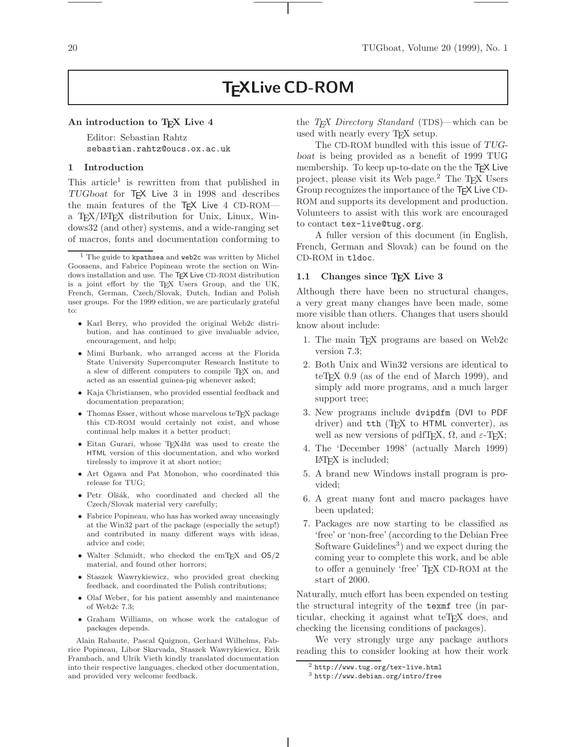# **TEXLive CD-ROM**

#### An introduction to T<sub>E</sub>X Live 4

Editor: Sebastian Rahtz sebastian.rahtz@oucs.ox.ac.uk

#### **1 Introduction**

This article<sup>1</sup> is rewritten from that published in TUGboat for TEX Live 3 in 1998 and describes the main features of the TFX Live 4 CD-ROMa TEX/LATEX distribution for Unix, Linux, Windows32 (and other) systems, and a wide-ranging set of macros, fonts and documentation conforming to

- Karl Berry, who provided the original Web2c distribution, and has continued to give invaluable advice, encouragement, and help;
- Mimi Burbank, who arranged access at the Florida State University Supercomputer Research Institute to a slew of different computers to compile TEX on, and acted as an essential guinea-pig whenever asked;
- Kaja Christiansen, who provided essential feedback and documentation preparation;
- Thomas Esser, without whose marvelous teT $FX$  package this CD-ROM would certainly not exist, and whose continual help makes it a better product;
- Eitan Gurari, whose TEX4ht was used to create the HTML version of this documentation, and who worked tirelessly to improve it at short notice;
- Art Ogawa and Pat Monohon, who coordinated this release for TUG;
- Petr Olšák, who coordinated and checked all the Czech/Slovak material very carefully;
- Fabrice Popineau, who has has worked away unceasingly at the Win32 part of the package (especially the setup!) and contributed in many different ways with ideas, advice and code;
- Walter Schmidt, who checked the emTEX and  $OS/2$ material, and found other horrors;
- Staszek Wawrykiewicz, who provided great checking feedback, and coordinated the Polish contributions;
- Olaf Weber, for his patient assembly and maintenance of Web2c 7.3;
- Graham Williams, on whose work the catalogue of packages depends.

Alain Rabaute, Pascal Quignon, Gerhard Wilhelms, Fabrice Popineau, Libor Skarvada, Staszek Wawrykiewicz, Erik Frambach, and Ulrik Vieth kindly translated documentation into their respective languages, checked other documentation, and provided very welcome feedback.

the *TEX Directory Standard* (TDS)—which can be used with nearly every T<sub>F</sub>X setup.

The CD-ROM bundled with this issue of TUGboat is being provided as a benefit of 1999 TUG membership. To keep up-to-date on the the T<sub>F</sub>X Live project, please visit its Web page.<sup>2</sup> The T<sub>E</sub>X Users Group recognizes the importance of the T<sub>F</sub>X Live CD-ROM and supports its development and production. Volunteers to assist with this work are encouraged to contact tex-live@tug.org.

A fuller version of this document (in English, French, German and Slovak) can be found on the CD-ROM in tldoc.

#### **1.1 Changes since TEX Live 3**

Although there have been no structural changes, a very great many changes have been made, some more visible than others. Changes that users should know about include:

- 1. The main TEX programs are based on Web2c version 7.3;
- 2. Both Unix and Win32 versions are identical to teT<sub>EX</sub> 0.9 (as of the end of March 1999), and simply add more programs, and a much larger support tree;
- 3. New programs include dvipdfm (DVI to PDF driver) and  $\text{th}$  (T<sub>E</sub>X to HTML converter), as well as new versions of pdfT<sub>E</sub>X,  $\Omega$ , and  $\varepsilon$ -T<sub>E</sub>X;
- 4. The 'December 1998' (actually March 1999) LATEX is included;
- 5. A brand new Windows install program is provided;
- 6. A great many font and macro packages have been updated;
- 7. Packages are now starting to be classified as 'free' or 'non-free' (according to the Debian Free Software Guidelines<sup>3</sup>) and we expect during the coming year to complete this work, and be able to offer a genuinely 'free' T<sub>EX</sub> CD-ROM at the start of 2000.

Naturally, much effort has been expended on testing the structural integrity of the texmf tree (in particular, checking it against what teT<sub>E</sub>X does, and checking the licensing conditions of packages).

We very strongly urge any package authors reading this to consider looking at how their work

 $1$  The guide to kpathsea and web2c was written by Michel Goossens, and Fabrice Popineau wrote the section on Windows installation and use. The TEX Live CD-ROM distribution is a joint effort by the TEX Users Group, and the UK, French, German, Czech/Slovak, Dutch, Indian and Polish user groups. For the 1999 edition, we are particularly grateful to:

 $^{2}$  http://www.tug.org/tex-live.html

 $^3$ http://www.debian.org/intro/free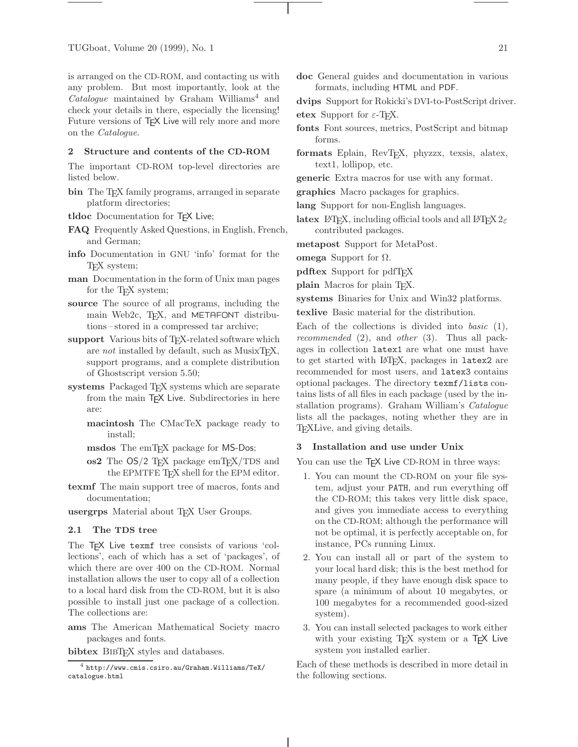is arranged on the CD-ROM, and contacting us with any problem. But most importantly, look at the *Catalogue* maintained by Graham Williams<sup>4</sup> and check your details in there, especially the licensing! Future versions of T<sub>F</sub>X Live will rely more and more on the *Catalogue*.

#### **2 Structure and contents of the CD-ROM**

The important CD-ROM top-level directories are listed below.

- **bin** The T<sub>E</sub>X family programs, arranged in separate platform directories;
- **tldoc** Documentation for TEX Live;
- **FAQ** Frequently Asked Questions, in English, French, and German;
- **info** Documentation in GNU 'info' format for the TEX system;
- **man** Documentation in the form of Unix man pages for the T<sub>E</sub>X system;
- **source** The source of all programs, including the main Web2c, TFX, and METAFONT distributions – stored in a compressed tar archive;
- support Various bits of T<sub>E</sub>X-related software which are *not* installed by default, such as MusixT<sub>E</sub>X, support programs, and a complete distribution of Ghostscript version 5.50;
- systems Packaged T<sub>E</sub>X systems which are separate from the main TEX Live. Subdirectories in here are:
	- **macintosh** The CMacTeX package ready to install;
	- **msdos** The emT<sub>E</sub>X package for MS-Dos;
	- **os2** The OS/2 T<sub>EX</sub> package emT<sub>E</sub>X/TDS and the EPMTFE T<sub>F</sub>X shell for the EPM editor.
- **texmf** The main support tree of macros, fonts and documentation;
- usergrps Material about T<sub>EX</sub> User Groups.

#### **2.1 The TDS tree**

The T<sub>F</sub>X Live texmf tree consists of various 'collections', each of which has a set of 'packages', of which there are over 400 on the CD-ROM. Normal installation allows the user to copy all of a collection to a local hard disk from the CD-ROM, but it is also possible to install just one package of a collection. The collections are:

**ams** The American Mathematical Society macro packages and fonts.

**bibtex** BIBT<sub>E</sub>X styles and databases.

**doc** General guides and documentation in various formats, including HTML and PDF.

**dvips** Support for Rokicki's DVI-to-PostScript driver. **etex** Support for  $\varepsilon$ -T<sub>E</sub>X.

- **fonts** Font sources, metrics, PostScript and bitmap forms.
- formats Eplain, RevT<sub>E</sub>X, phyzzx, texsis, alatex, text1, lollipop, etc.
- **generic** Extra macros for use with any format.
- **graphics** Macro packages for graphics.
- **lang** Support for non-English languages.
- **latex** LAT<sub>E</sub>X, including official tools and all LAT<sub>E</sub>X  $2\varepsilon$ contributed packages.

**metapost** Support for MetaPost.

**omega** Support for Ω.

**pdftex** Support for pdfT<sub>E</sub>X

**plain** Macros for plain T<sub>E</sub>X.

**systems** Binaries for Unix and Win32 platforms.

**texlive** Basic material for the distribution.

Each of the collections is divided into *basic* (1), *recommended* (2), and *other* (3). Thus all packages in collection latex1 are what one must have to get started with LATEX, packages in latex2 are recommended for most users, and latex3 contains optional packages. The directory texmf/lists contains lists of all files in each package (used by the installation programs). Graham William's *Catalogue* lists all the packages, noting whether they are in TEXLive, and giving details.

#### **3 Installation and use under Unix**

You can use the TEX Live CD-ROM in three ways:

- 1. You can mount the CD-ROM on your file system, adjust your PATH, and run everything off the CD-ROM; this takes very little disk space, and gives you immediate access to everything on the CD-ROM; although the performance will not be optimal, it is perfectly acceptable on, for instance, PCs running Linux.
- 2. You can install all or part of the system to your local hard disk; this is the best method for many people, if they have enough disk space to spare (a minimum of about 10 megabytes, or 100 megabytes for a recommended good-sized system).
- 3. You can install selected packages to work either with your existing T<sub>F</sub>X system or a T<sub>F</sub>X Live system you installed earlier.

Each of these methods is described in more detail in the following sections.

 $^4$  http://www.cmis.csiro.au/Graham.Williams/TeX/ catalogue.html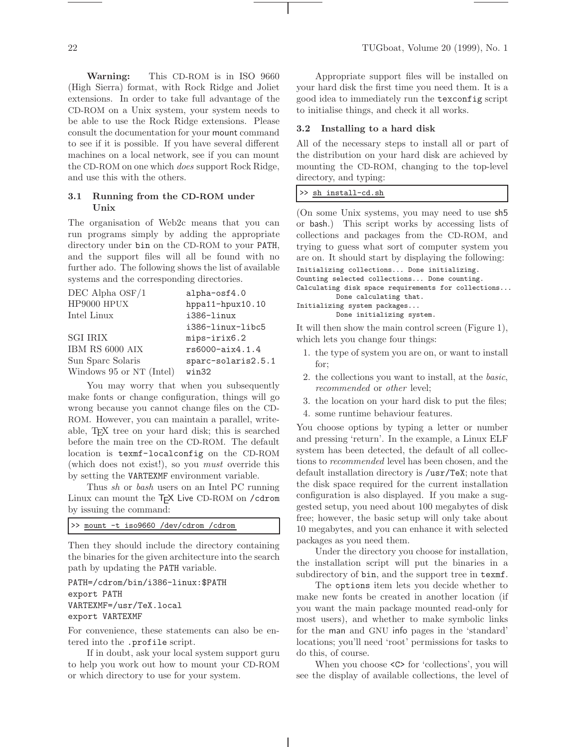**Warning:** This CD-ROM is in ISO 9660 (High Sierra) format, with Rock Ridge and Joliet extensions. In order to take full advantage of the CD-ROM on a Unix system, your system needs to be able to use the Rock Ridge extensions. Please consult the documentation for your mount command to see if it is possible. If you have several different machines on a local network, see if you can mount the CD-ROM on one which *does* support Rock Ridge, and use this with the others.

# **3.1 Running from the CD-ROM under Unix**

The organisation of Web2c means that you can run programs simply by adding the appropriate directory under bin on the CD-ROM to your PATH, and the support files will all be found with no further ado. The following shows the list of available systems and the corresponding directories.

| $DEC$ Alpha $OSF/1$      | alpha-osf4.0       |
|--------------------------|--------------------|
| HP9000 HPUX              | hppa11-hpux10.10   |
| Intel Linux              | i386-linux         |
|                          | i386-linux-libc5   |
| <b>SGI IRIX</b>          | mips-irix6.2       |
| IBM RS 6000 AIX          | rs6000-aix4.1.4    |
| Sun Sparc Solaris        | sparc-solaris2.5.1 |
| Windows 95 or NT (Intel) | win32              |

You may worry that when you subsequently make fonts or change configuration, things will go wrong because you cannot change files on the CD-ROM. However, you can maintain a parallel, writeable, TEX tree on your hard disk; this is searched before the main tree on the CD-ROM. The default location is texmf-localconfig on the CD-ROM (which does not exist!), so you *must* override this by setting the VARTEXMF environment variable.

Thus *sh* or *bash* users on an Intel PC running Linux can mount the TEX Live CD-ROM on /cdrom by issuing the command:

|--|

Then they should include the directory containing the binaries for the given architecture into the search path by updating the PATH variable.

PATH=/cdrom/bin/i386-linux:\$PATH export PATH VARTEXMF=/usr/TeX.local export VARTEXMF

For convenience, these statements can also be entered into the .profile script.

If in doubt, ask your local system support guru to help you work out how to mount your CD-ROM or which directory to use for your system.

Appropriate support files will be installed on your hard disk the first time you need them. It is a good idea to immediately run the texconfig script to initialise things, and check it all works.

# **3.2 Installing to a hard disk**

All of the necessary steps to install all or part of the distribution on your hard disk are achieved by mounting the CD-ROM, changing to the top-level directory, and typing:

# >> sh install-cd.sh

(On some Unix systems, you may need to use sh5 or bash.) This script works by accessing lists of collections and packages from the CD-ROM, and trying to guess what sort of computer system you are on. It should start by displaying the following:

```
Initializing collections... Done initializing.
Counting selected collections... Done counting.
Calculating disk space requirements for collections...
         Done calculating that.
Initializing system packages...
         Done initializing system.
```
It will then show the main control screen (Figure 1), which lets you change four things:

- 1. the type of system you are on, or want to install for;
- 2. the collections you want to install, at the *basic*, *recommended* or *other* level;
- 3. the location on your hard disk to put the files;
- 4. some runtime behaviour features.

You choose options by typing a letter or number and pressing 'return'. In the example, a Linux ELF system has been detected, the default of all collections to *recommended* level has been chosen, and the default installation directory is /usr/TeX; note that the disk space required for the current installation configuration is also displayed. If you make a suggested setup, you need about 100 megabytes of disk free; however, the basic setup will only take about 10 megabytes, and you can enhance it with selected packages as you need them.

Under the directory you choose for installation, the installation script will put the binaries in a subdirectory of bin, and the support tree in texmf.

The options item lets you decide whether to make new fonts be created in another location (if you want the main package mounted read-only for most users), and whether to make symbolic links for the man and GNU info pages in the 'standard' locations; you'll need 'root' permissions for tasks to do this, of course.

When you choose  $\langle C \rangle$  for 'collections', you will see the display of available collections, the level of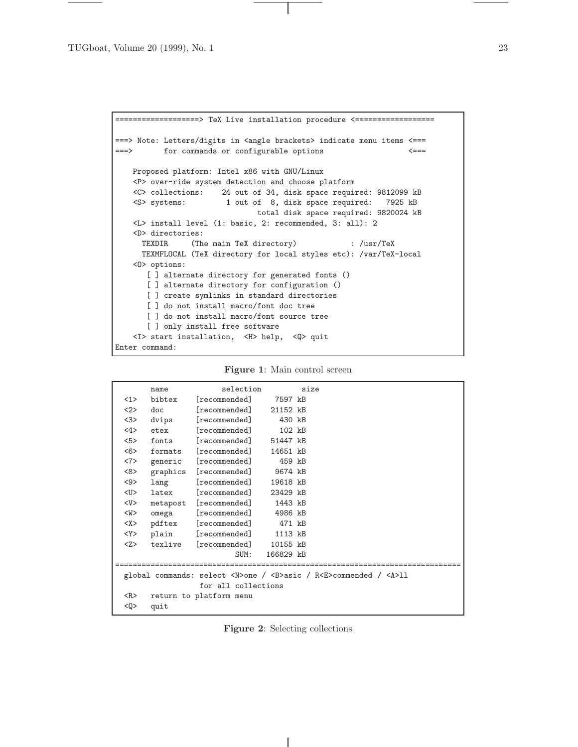```
=================> TeX Live installation procedure <============================
===> Note: Letters/digits in <angle brackets> indicate menu items <===
===> for commands or configurable options <===
   Proposed platform: Intel x86 with GNU/Linux
   <P> over-ride system detection and choose platform
   <C> collections: 24 out of 34, disk space required: 9812099 kB
   <S> systems: 1 out of 8, disk space required: 7925 kB
                              total disk space required: 9820024 kB
   <L> install level (1: basic, 2: recommended, 3: all): 2
   <D> directories:
     TEXDIR (The main TeX directory) : /usr/TeX
     TEXMFLOCAL (TeX directory for local styles etc): /var/TeX-local
   <O> options:
      [ ] alternate directory for generated fonts ()
      [ ] alternate directory for configuration ()
      [ ] create symlinks in standard directories
      [ ] do not install macro/font doc tree
      [ ] do not install macro/font source tree
      [ ] only install free software
   <I> start installation, <H> help, <Q> quit
Enter command:
```

|                     | name                | selection                      |           | size |                                                                                  |  |
|---------------------|---------------------|--------------------------------|-----------|------|----------------------------------------------------------------------------------|--|
| $\langle 1 \rangle$ | bibtex              | [recommended] 7597 kB          |           |      |                                                                                  |  |
| 2                   | doc                 | [reconnected]                  | 21152 kB  |      |                                                                                  |  |
| 3                   | dvips               | [reconnected]                  | 430 kB    |      |                                                                                  |  |
| 4                   | etex                | [reconnected]                  | 102 kB    |      |                                                                                  |  |
| 5                   | fonts               | [recommended]                  | 51447 kB  |      |                                                                                  |  |
| 55                  |                     | formats [recommended]          | 14651 kB  |      |                                                                                  |  |
| <7>                 | generic             | [reconnected]                  | 459 kB    |      |                                                                                  |  |
| <8>                 |                     | graphics [recommended] 9674 kB |           |      |                                                                                  |  |
| $9$                 | lang                | [reconnected]                  | 19618 kB  |      |                                                                                  |  |
| <u></u>             |                     | latex [recommended]            | 23429 kB  |      |                                                                                  |  |
| $<$ V $>$           |                     | metapost [recommended] 1443 kB |           |      |                                                                                  |  |
| <w></w>             | omega               | [recommended] 4986 kB          |           |      |                                                                                  |  |
| <x></x>             |                     | pdftex [recommended] 471 kB    |           |      |                                                                                  |  |
| $<$ Y $>$           |                     | plain [recommended]            | 1113 kB   |      |                                                                                  |  |
| $<\!\!Z\!\!>$       | texlive             | [recommended]                  | 10155 kB  |      |                                                                                  |  |
|                     |                     | SUM:                           | 166829 kB |      |                                                                                  |  |
|                     |                     |                                |           |      |                                                                                  |  |
|                     |                     |                                |           |      | global commands: select <n>one / <b>asic / R<e>commended / <a>11</a></e></b></n> |  |
|                     | for all collections |                                |           |      |                                                                                  |  |
| $<$ R $>$           |                     | return to platform menu        |           |      |                                                                                  |  |
| <q></q>             | quit                |                                |           |      |                                                                                  |  |
|                     |                     |                                |           |      |                                                                                  |  |

**Figure 2**: Selecting collections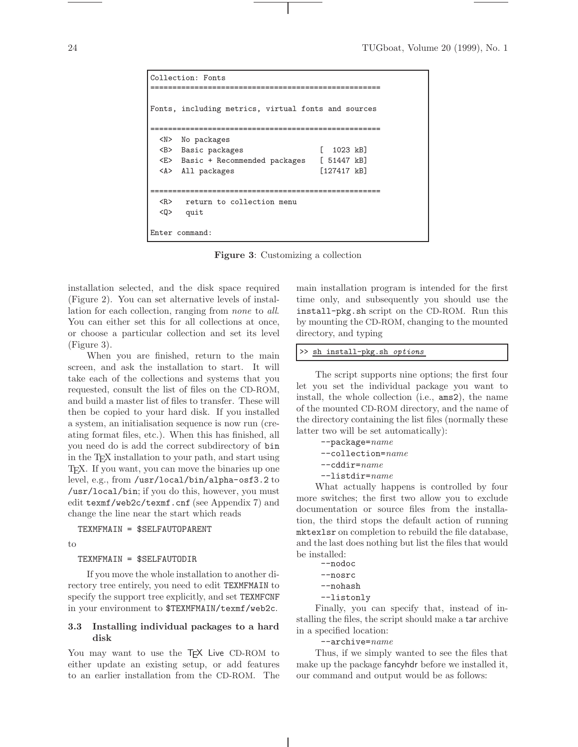```
Collection: Fonts
====================================================
Fonts, including metrics, virtual fonts and sources
====================================================
 <N> No packages
 <B> Basic packages [ 1023 kB]
 <E> Basic + Recommended packages [ 51447 kB]
 <A> All packages [127417 kB]
====================================================
 <R> return to collection menu
 <Q> quit
Enter command:
```
**Figure 3**: Customizing a collection

installation selected, and the disk space required (Figure 2). You can set alternative levels of installation for each collection, ranging from *none* to *all*. You can either set this for all collections at once, or choose a particular collection and set its level (Figure 3).

When you are finished, return to the main screen, and ask the installation to start. It will take each of the collections and systems that you requested, consult the list of files on the CD-ROM, and build a master list of files to transfer. These will then be copied to your hard disk. If you installed a system, an initialisation sequence is now run (creating format files, etc.). When this has finished, all you need do is add the correct subdirectory of bin in the TEX installation to your path, and start using TEX. If you want, you can move the binaries up one level, e.g., from /usr/local/bin/alpha-osf3.2 to /usr/local/bin; if you do this, however, you must edit texmf/web2c/texmf.cnf (see Appendix 7) and change the line near the start which reads

# TEXMFMAIN = \$SELFAUTOPARENT

to

#### TEXMFMAIN = \$SELFAUTODIR

If you move the whole installation to another directory tree entirely, you need to edit TEXMFMAIN to specify the support tree explicitly, and set TEXMFCNF in your environment to \$TEXMFMAIN/texmf/web2c.

# **3.3 Installing individual packages to a hard disk**

You may want to use the T<sub>E</sub>X Live CD-ROM to either update an existing setup, or add features to an earlier installation from the CD-ROM. The

main installation program is intended for the first time only, and subsequently you should use the install-pkg.sh script on the CD-ROM. Run this by mounting the CD-ROM, changing to the mounted directory, and typing

#### >> sh install-pkg.sh options

The script supports nine options; the first four let you set the individual package you want to install, the whole collection (i.e., ams2), the name of the mounted CD-ROM directory, and the name of the directory containing the list files (normally these latter two will be set automatically):

- --package=*name* --collection=*name* --cddir=*name*
- --listdir=*name*

What actually happens is controlled by four more switches; the first two allow you to exclude documentation or source files from the installation, the third stops the default action of running mktexlsr on completion to rebuild the file database, and the last does nothing but list the files that would be installed:

```
--nodoc
--nosrc
--nohash
```

```
--listonly
```
Finally, you can specify that, instead of installing the files, the script should make a tar archive in a specified location:

--archive=*name*

Thus, if we simply wanted to see the files that make up the package fancyhdr before we installed it, our command and output would be as follows: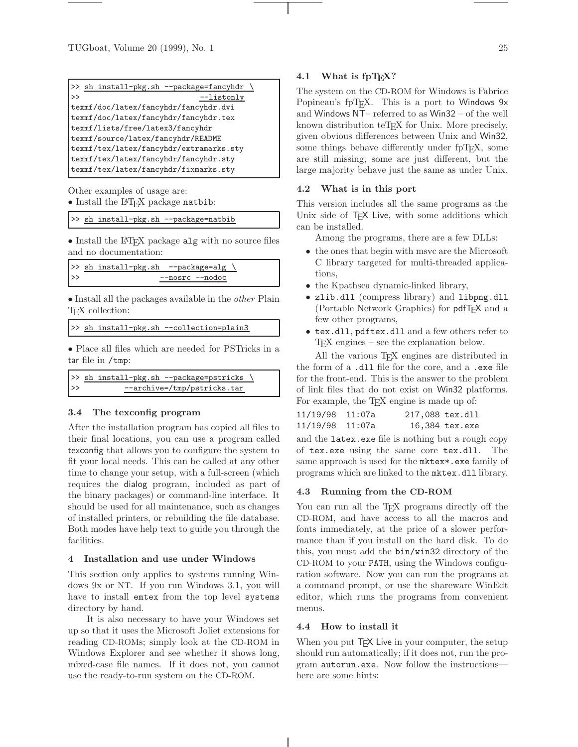| >> sh install-pkg.sh --package=fancyhdr |  |  |  |  |
|-----------------------------------------|--|--|--|--|
| $-$ listonly<br>$\gt$                   |  |  |  |  |
| texmf/doc/latex/fancyhdr/fancyhdr.dvi   |  |  |  |  |
| texmf/doc/latex/fancyhdr/fancyhdr.tex   |  |  |  |  |
| texmf/lists/free/latex3/fancyhdr        |  |  |  |  |
| texmf/source/latex/fancyhdr/README      |  |  |  |  |
| texmf/tex/latex/fancyhdr/extramarks.sty |  |  |  |  |
| texmf/tex/latex/fancyhdr/fancyhdr.sty   |  |  |  |  |
| texmf/tex/latex/fancyhdr/fixmarks.sty   |  |  |  |  |

Other examples of usage are: • Install the LATEX package natbib:

#### >> sh install-pkg.sh --package=natbib

• Install the LAT<sub>E</sub>X package alg with no source files and no documentation:

```
>> sh install-pkg.sh --package=alg \
>> --nosrc --nodoc
```
• Install all the packages available in the *other* Plain T<sub>E</sub>X collection:

```
>> sh install-pkg.sh --collection=plain3
```
• Place all files which are needed for PSTricks in a tar file in /tmp:

```
>> sh install-pkg.sh --package=pstricks \
>> --archive=/tmp/pstricks.tar
```
#### **3.4 The texconfig program**

After the installation program has copied all files to their final locations, you can use a program called texconfig that allows you to configure the system to fit your local needs. This can be called at any other time to change your setup, with a full-screen (which requires the dialog program, included as part of the binary packages) or command-line interface. It should be used for all maintenance, such as changes of installed printers, or rebuilding the file database. Both modes have help text to guide you through the facilities.

## **4 Installation and use under Windows**

This section only applies to systems running Windows 9x or NT. If you run Windows 3.1, you will have to install emtex from the top level systems directory by hand.

It is also necessary to have your Windows set up so that it uses the Microsoft Joliet extensions for reading CD-ROMs; simply look at the CD-ROM in Windows Explorer and see whether it shows long, mixed-case file names. If it does not, you cannot use the ready-to-run system on the CD-ROM.

#### **4.1** What is fpT<sub>F</sub>X?

The system on the CD-ROM for Windows is Fabrice Popineau's fpT<sub>E</sub>X. This is a port to Windows 9x and Windows NT– referred to as Win32 – of the well known distribution teTEX for Unix. More precisely, given obvious differences between Unix and Win32, some things behave differently under fpT<sub>E</sub>X, some are still missing, some are just different, but the large majority behave just the same as under Unix.

#### **4.2 What is in this port**

This version includes all the same programs as the Unix side of T<sub>E</sub>X Live, with some additions which can be installed.

Among the programs, there are a few DLLs:

- the ones that begin with msvc are the Microsoft C library targeted for multi-threaded applications,
- the Kpathsea dynamic-linked library,
- zlib.dll (compress library) and libpng.dll (Portable Network Graphics) for pdfTEX and a few other programs,
- tex.dll, pdftex.dll and a few others refer to TEX engines – see the explanation below.

All the various T<sub>EX</sub> engines are distributed in the form of a .dll file for the core, and a .exe file for the front-end. This is the answer to the problem of link files that do not exist on Win32 platforms. For example, the T<sub>E</sub>X engine is made up of:

| 11/19/98 11:07a | 217,088 tex.dll |                |
|-----------------|-----------------|----------------|
| 11/19/98 11:07a |                 | 16,384 tex.exe |

and the latex.exe file is nothing but a rough copy of tex.exe using the same core tex.dll. The same approach is used for the mktex\*.exe family of programs which are linked to the mktex.dll library.

#### **4.3 Running from the CD-ROM**

You can run all the T<sub>EX</sub> programs directly off the CD-ROM, and have access to all the macros and fonts immediately, at the price of a slower performance than if you install on the hard disk. To do this, you must add the bin/win32 directory of the CD-ROM to your PATH, using the Windows configuration software. Now you can run the programs at a command prompt, or use the shareware WinEdt editor, which runs the programs from convenient menus.

#### **4.4 How to install it**

When you put TEX Live in your computer, the setup should run automatically; if it does not, run the program autorun.exe. Now follow the instructions here are some hints: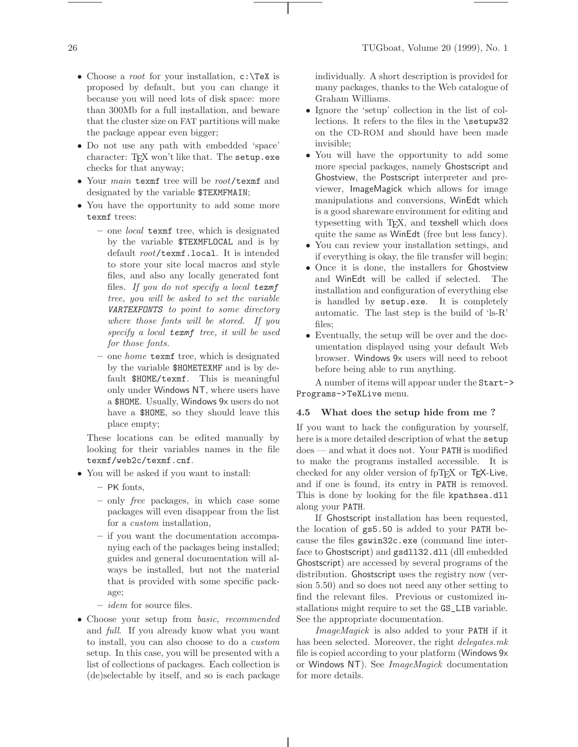- Choose a *root* for your installation, c:\TeX is proposed by default, but you can change it because you will need lots of disk space: more than 300Mb for a full installation, and beware that the cluster size on FAT partitions will make the package appear even bigger;
- Do not use any path with embedded 'space' character: TEX won't like that. The setup.exe checks for that anyway;
- Your *main* texmf tree will be *root*/texmf and designated by the variable \$TEXMFMAIN;
- You have the opportunity to add some more texmf trees:
	- **–** one *local* texmf tree, which is designated by the variable \$TEXMFLOCAL and is by default *root*/texmf.local. It is intended to store your site local macros and style files, and also any locally generated font files. *If you do not specify a local* texmf *tree, you will be asked to set the variable* VARTEXFONTS *to point to some directory where those fonts will be stored. If you specify a local* texmf *tree, it will be used for those fonts.*
	- **–** one *home* texmf tree, which is designated by the variable \$HOMETEXMF and is by default \$HOME/texmf. This is meaningful only under Windows NT, where users have a \$HOME. Usually, Windows 9x users do not have a \$HOME, so they should leave this place empty;

These locations can be edited manually by looking for their variables names in the file texmf/web2c/texmf.cnf.

- You will be asked if you want to install:
	- **–** PK fonts,
	- **–** only *free* packages, in which case some packages will even disappear from the list for a *custom* installation,
	- **–** if you want the documentation accompanying each of the packages being installed; guides and general documentation will always be installed, but not the material that is provided with some specific package;
	- **–** *idem* for source files.
- Choose your setup from *basic*, *recommended* and *full*. If you already know what you want to install, you can also choose to do a *custom* setup. In this case, you will be presented with a list of collections of packages. Each collection is (de)selectable by itself, and so is each package

individually. A short description is provided for many packages, thanks to the Web catalogue of Graham Williams.

- Ignore the 'setup' collection in the list of collections. It refers to the files in the \setupw32 on the CD-ROM and should have been made invisible;
- You will have the opportunity to add some more special packages, namely Ghostscript and Ghostview, the Postscript interpreter and previewer, ImageMagick which allows for image manipulations and conversions, WinEdt which is a good shareware environment for editing and typesetting with T<sub>E</sub>X, and texshell which does quite the same as WinEdt (free but less fancy).
- You can review your installation settings, and if everything is okay, the file transfer will begin;
- Once it is done, the installers for Ghostview and WinEdt will be called if selected. The installation and configuration of everything else is handled by setup.exe. It is completely automatic. The last step is the build of 'ls-R' files;
- Eventually, the setup will be over and the documentation displayed using your default Web browser. Windows 9x users will need to reboot before being able to run anything.

A number of items will appear under the Start-> Programs->TeXLive menu.

#### **4.5 What does the setup hide from me ?**

If you want to hack the configuration by yourself, here is a more detailed description of what the setup does — and what it does not. Your PATH is modified to make the programs installed accessible. It is checked for any older version of  $fpTr X$  or  $Tr X$ -Live, and if one is found, its entry in PATH is removed. This is done by looking for the file kpathsea.dll along your PATH.

If Ghostscript installation has been requested, the location of gs5.50 is added to your PATH because the files gswin32c.exe (command line interface to Ghostscript) and gsdll32.dll (dll embedded Ghostscript) are accessed by several programs of the distribution. Ghostscript uses the registry now (version 5.50) and so does not need any other setting to find the relevant files. Previous or customized installations might require to set the GS\_LIB variable. See the appropriate documentation.

*ImageMagick* is also added to your PATH if it has been selected. Moreover, the right *delegates.mk* file is copied according to your platform (Windows 9x or Windows NT). See *ImageMagick* documentation for more details.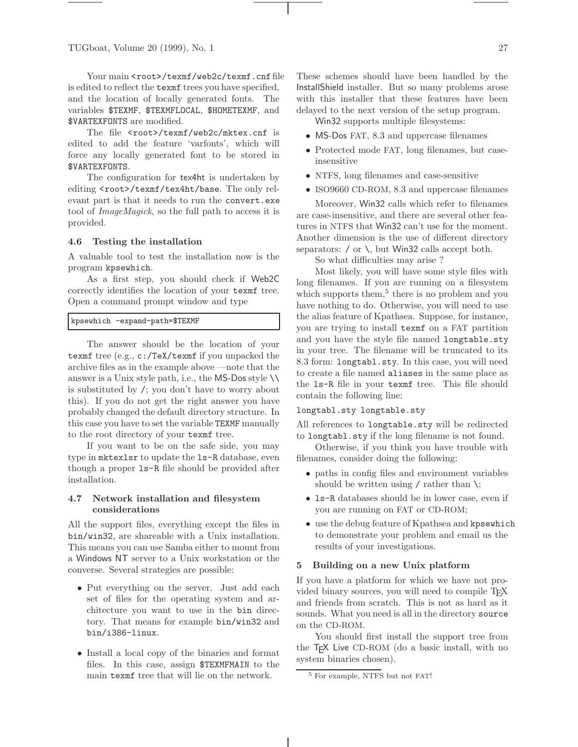Your main <root>/texmf/web2c/texmf.cnf file is edited to reflect the texmf trees you have specified, and the location of locally generated fonts. The variables \$TEXMF, \$TEXMFLOCAL, \$HOMETEXMF, and \$VARTEXFONTS are modified.

The file <root>/texmf/web2c/mktex.cnf is edited to add the feature 'varfonts', which will force any locally generated font to be stored in \$VARTEXFONTS.

The configuration for tex4ht is undertaken by editing <root>/texmf/tex4ht/base. The only relevant part is that it needs to run the convert.exe tool of *ImageMagick*, so the full path to access it is provided.

#### **4.6 Testing the installation**

A valuable tool to test the installation now is the program kpsewhich.

As a first step, you should check if Web2C correctly identifies the location of your texmf tree. Open a command prompt window and type

## kpsewhich -expand-path=\$TEXMF

The answer should be the location of your texmf tree (e.g., c:/TeX/texmf if you unpacked the archive files as in the example above —note that the answer is a Unix style path, i.e., the MS-Dos style  $\setminus \setminus$ is substituted by /; you don't have to worry about this). If you do not get the right answer you have probably changed the default directory structure. In this case you have to set the variable TEXMF manually to the root directory of your texmf tree.

If you want to be on the safe side, you may type in mktexlsr to update the ls-R database, even though a proper ls-R file should be provided after installation.

# **4.7 Network installation and filesystem considerations**

All the support files, everything except the files in bin/win32, are shareable with a Unix installation. This means you can use Samba either to mount from a Windows NT server to a Unix workstation or the converse. Several strategies are possible:

- Put everything on the server. Just add each set of files for the operating system and architecture you want to use in the bin directory. That means for example bin/win32 and bin/i386-linux.
- Install a local copy of the binaries and format files. In this case, assign \$TEXMFMAIN to the main texmf tree that will lie on the network.

These schemes should have been handled by the InstallShield installer. But so many problems arose with this installer that these features have been delayed to the next version of the setup program.

Win32 supports multiple filesystems:

- MS-Dos FAT, 8.3 and uppercase filenames
- Protected mode FAT, long filenames, but caseinsensitive
- NTFS, long filenames and case-sensitive
- ISO9660 CD-ROM, 8.3 and uppercase filenames

Moreover, Win32 calls which refer to filenames are case-insensitive, and there are several other features in NTFS that Win32 can't use for the moment. Another dimension is the use of different directory separators:  $\prime$  or  $\setminus$ , but Win32 calls accept both.

So what difficulties may arise ?

Most likely, you will have some style files with long filenames. If you are running on a filesystem which supports them,  $5$  there is no problem and you have nothing to do. Otherwise, you will need to use the alias feature of Kpathsea. Suppose, for instance, you are trying to install texmf on a FAT partition and you have the style file named longtable.sty in your tree. The filename will be truncated to its 8.3 form: longtabl.sty. In this case, you will need to create a file named aliases in the same place as the ls-R file in your texmf tree. This file should contain the following line:

# longtabl.sty longtable.sty

All references to longtable.sty will be redirected to longtabl.sty if the long filename is not found.

Otherwise, if you think you have trouble with filenames, consider doing the following:

- paths in config files and environment variables should be written using / rather than  $\lambda$ ;
- ls-R databases should be in lower case, even if you are running on FAT or CD-ROM;
- use the debug feature of Kpathsea and kpsewhich to demonstrate your problem and email us the results of your investigations.

#### **5 Building on a new Unix platform**

If you have a platform for which we have not provided binary sources, you will need to compile T<sub>E</sub>X and friends from scratch. This is not as hard as it sounds. What you need is all in the directory source on the CD-ROM.

You should first install the support tree from the T<sub>F</sub>X Live CD-ROM (do a basic install, with no system binaries chosen).

<sup>5</sup> For example, NTFS but not FAT!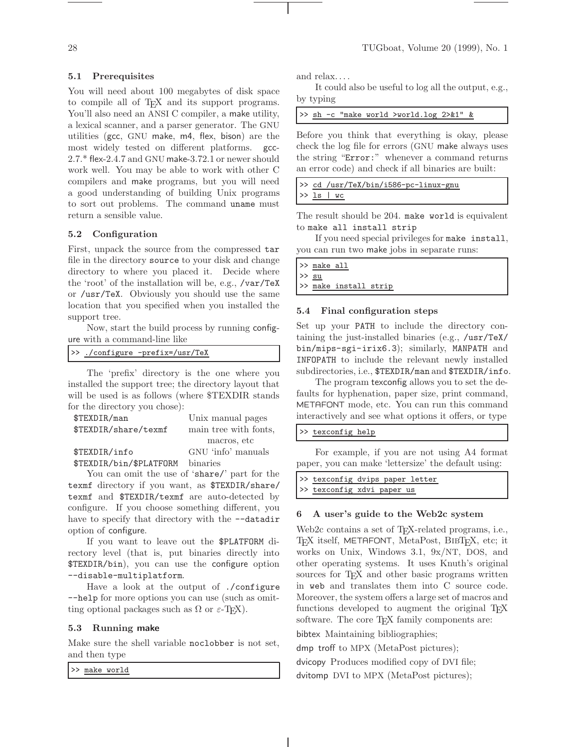## **5.1 Prerequisites**

You will need about 100 megabytes of disk space to compile all of T<sub>E</sub>X and its support programs. You'll also need an ANSI C compiler, a make utility, a lexical scanner, and a parser generator. The GNU utilities (gcc, GNU make, m4, flex, bison) are the most widely tested on different platforms. gcc-2.7.\* flex-2.4.7 and GNU make-3.72.1 or newer should work well. You may be able to work with other C compilers and make programs, but you will need a good understanding of building Unix programs to sort out problems. The command uname must return a sensible value.

# **5.2 Configuration**

First, unpack the source from the compressed tar file in the directory source to your disk and change directory to where you placed it. Decide where the 'root' of the installation will be, e.g., /var/TeX or /usr/TeX. Obviously you should use the same location that you specified when you installed the support tree.

Now, start the build process by running configure with a command-line like

>> ./configure -prefix=/usr/TeX

The 'prefix' directory is the one where you installed the support tree; the directory layout that will be used is as follows (where \$TEXDIR stands for the directory you chose):

| \$TEXDIR/man            | Unix manual pages     |
|-------------------------|-----------------------|
| \$TEXDIR/share/texmf    | main tree with fonts, |
|                         | macros, etc           |
| \$TEXDIR/info           | GNU 'info' manuals    |
| \$TEXDIR/bin/\$PLATFORM | binaries              |

You can omit the use of 'share/' part for the texmf directory if you want, as \$TEXDIR/share/ texmf and \$TEXDIR/texmf are auto-detected by configure. If you choose something different, you have to specify that directory with the  $-$ -datadir option of configure.

If you want to leave out the \$PLATFORM directory level (that is, put binaries directly into \$TEXDIR/bin), you can use the configure option --disable-multiplatform.

Have a look at the output of ./configure --help for more options you can use (such as omitting optional packages such as  $\Omega$  or  $\varepsilon$ -T<sub>F</sub>X).

# **5.3 Running make**

Make sure the shell variable noclobber is not set, and then type

>> make world

and relax. . . .

It could also be useful to log all the output, e.g., by typing

Before you think that everything is okay, please check the log file for errors (GNU make always uses the string "Error:" whenever a command returns an error code) and check if all binaries are built:

|  | >> cd /usr/TeX/bin/i586-pc-linux-gnu |
|--|--------------------------------------|
|  | $>> 1s$   wc                         |

The result should be 204. make world is equivalent to make all install strip

If you need special privileges for make install, you can run two make jobs in separate runs:

| $\gg$ make all |                       |  |  |  |
|----------------|-----------------------|--|--|--|
| $\gg$ su       |                       |  |  |  |
|                | >> make install strip |  |  |  |

## **5.4 Final configuration steps**

Set up your PATH to include the directory containing the just-installed binaries (e.g., /usr/TeX/ bin/mips-sgi-irix6.3); similarly, MANPATH and INFOPATH to include the relevant newly installed subdirectories, i.e., \$TEXDIR/man and \$TEXDIR/info.

The program texconfig allows you to set the defaults for hyphenation, paper size, print command, METAFONT mode, etc. You can run this command interactively and see what options it offers, or type

#### >> texconfig help

For example, if you are not using A4 format paper, you can make 'lettersize' the default using:

| >> texconfig dvips paper letter |  |  |
|---------------------------------|--|--|
| >> texconfig xdvi paper us      |  |  |

# **6 A user's guide to the Web2c system**

Web2c contains a set of T<sub>E</sub>X-related programs, i.e., T<sub>E</sub>X itself, METAFONT, MetaPost, BIBT<sub>E</sub>X, etc; it works on Unix, Windows 3.1, 9x/NT, DOS, and other operating systems. It uses Knuth's original sources for T<sub>E</sub>X and other basic programs written in web and translates them into C source code. Moreover, the system offers a large set of macros and functions developed to augment the original T<sub>E</sub>X software. The core T<sub>E</sub>X family components are:

bibtex Maintaining bibliographies;

dmp troff to MPX (MetaPost pictures);

dvicopy Produces modified copy of DVI file; dvitomp DVI to MPX (MetaPost pictures);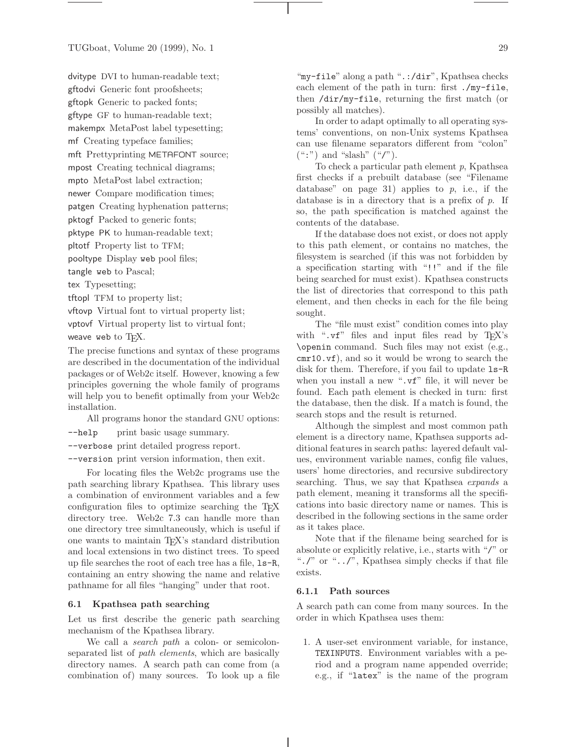TUGboat, Volume 20 (1999), No. 1 29

dvitype DVI to human-readable text;

gftodvi Generic font proofsheets;

gftopk Generic to packed fonts;

gftype GF to human-readable text;

makempx MetaPost label typesetting;

mf Creating typeface families;

mft Prettyprinting METAFONT source;

mpost Creating technical diagrams;

mpto MetaPost label extraction;

newer Compare modification times;

patgen Creating hyphenation patterns;

pktogf Packed to generic fonts;

pktype PK to human-readable text;

pltotf Property list to TFM;

pooltype Display web pool files;

tangle web to Pascal;

tex Typesetting;

tftopl TFM to property list;

vftovp Virtual font to virtual property list;

vptovf Virtual property list to virtual font;

weave web to  $T_FX$ .

The precise functions and syntax of these programs are described in the documentation of the individual packages or of Web2c itself. However, knowing a few principles governing the whole family of programs will help you to benefit optimally from your Web2c installation.

All programs honor the standard GNU options:

--help print basic usage summary.

--verbose print detailed progress report.

--version print version information, then exit.

For locating files the Web2c programs use the path searching library Kpathsea. This library uses a combination of environment variables and a few configuration files to optimize searching the T<sub>E</sub>X directory tree. Web2c 7.3 can handle more than one directory tree simultaneously, which is useful if one wants to maintain TEX's standard distribution and local extensions in two distinct trees. To speed up file searches the root of each tree has a file, ls-R, containing an entry showing the name and relative pathname for all files "hanging" under that root.

# **6.1 Kpathsea path searching**

Let us first describe the generic path searching mechanism of the Kpathsea library.

We call a *search path* a colon- or semicolonseparated list of *path elements*, which are basically directory names. A search path can come from (a combination of) many sources. To look up a file "my-file" along a path ".:/dir", Kpathsea checks each element of the path in turn: first ./my-file, then /dir/my-file, returning the first match (or possibly all matches).

In order to adapt optimally to all operating systems' conventions, on non-Unix systems Kpathsea can use filename separators different from "colon"  $(\text{``:''})$  and "slash"  $(\text{``/''}).$ 

To check a particular path element *p*, Kpathsea first checks if a prebuilt database (see "Filename database" on page 31) applies to  $p$ , i.e., if the database is in a directory that is a prefix of *p*. If so, the path specification is matched against the contents of the database.

If the database does not exist, or does not apply to this path element, or contains no matches, the filesystem is searched (if this was not forbidden by a specification starting with "!!" and if the file being searched for must exist). Kpathsea constructs the list of directories that correspond to this path element, and then checks in each for the file being sought.

The "file must exist" condition comes into play with " $\cdot \mathbf{v}$ " files and input files read by T<sub>E</sub>X's \openin command. Such files may not exist (e.g., cmr10.vf), and so it would be wrong to search the disk for them. Therefore, if you fail to update  $ls-R$ when you install a new ".vf" file, it will never be found. Each path element is checked in turn: first the database, then the disk. If a match is found, the search stops and the result is returned.

Although the simplest and most common path element is a directory name, Kpathsea supports additional features in search paths: layered default values, environment variable names, config file values, users' home directories, and recursive subdirectory searching. Thus, we say that Kpathsea *expands* a path element, meaning it transforms all the specifications into basic directory name or names. This is described in the following sections in the same order as it takes place.

Note that if the filename being searched for is absolute or explicitly relative, i.e., starts with "/" or "./" or "../", Kpathsea simply checks if that file exists.

# **6.1.1 Path sources**

A search path can come from many sources. In the order in which Kpathsea uses them:

1. A user-set environment variable, for instance, TEXINPUTS. Environment variables with a period and a program name appended override; e.g., if "latex" is the name of the program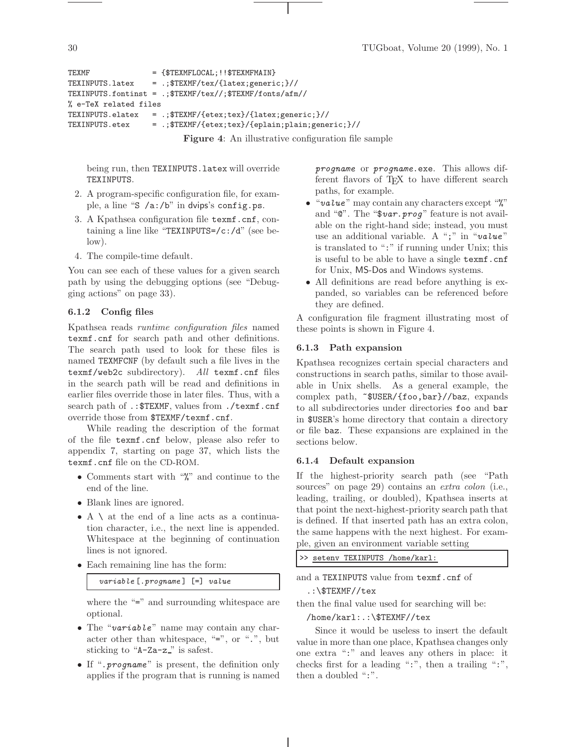```
TEXMF = {$TEXMFLOCAL;!!$TEXMFMAIN}
TEXINPUTS.latex = .;$TEXMF/tex/{latex;generic;}//
TEXINPUTS.fontinst = .;$TEXMF/tex//;$TEXMF/fonts/afm//
% e-TeX related files
TEXINPUTS.elatex = .;$TEXMF/{etex;tex}/{latex;generic;}//
TEXINPUTS.etex = .;$TEXMF/{etex;tex}/{eplain;plain;generic;}//
```
**Figure 4**: An illustrative configuration file sample

being run, then TEXINPUTS.latex will override TEXINPUTS.

- 2. A program-specific configuration file, for example, a line "S /a:/b" in dvips's config.ps.
- 3. A Kpathsea configuration file texmf.cnf, containing a line like "TEXINPUTS=/c:/d" (see below).
- 4. The compile-time default.

You can see each of these values for a given search path by using the debugging options (see "Debugging actions" on page 33).

# **6.1.2 Config files**

Kpathsea reads *runtime configuration files* named texmf.cnf for search path and other definitions. The search path used to look for these files is named TEXMFCNF (by default such a file lives in the texmf/web2c subdirectory). *All* texmf.cnf files in the search path will be read and definitions in earlier files override those in later files. Thus, with a search path of .: \$TEXMF, values from ./texmf.cnf override those from \$TEXMF/texmf.cnf.

While reading the description of the format of the file texmf.cnf below, please also refer to appendix 7, starting on page 37, which lists the texmf.cnf file on the CD-ROM.

- Comments start with "%" and continue to the end of the line.
- Blank lines are ignored.
- A \ at the end of a line acts as a continuation character, i.e., the next line is appended. Whitespace at the beginning of continuation lines is not ignored.
- Each remaining line has the form:

variable [.progname ] [=] value

where the "=" and surrounding whitespace are optional.

- The "variable" name may contain any character other than whitespace, "=", or ".", but sticking to "A-Za-z\_" is safest.
- If "*.progname*" is present, the definition only applies if the program that is running is named

progname or progname.exe. This allows different flavors of T<sub>F</sub>X to have different search paths, for example.

- "value" may contain any characters except "%" and " $\mathbb{C}$ ". The "\$var. prog" feature is not available on the right-hand side; instead, you must use an additional variable. A ";" in "value" is translated to ":" if running under Unix; this is useful to be able to have a single texmf.cnf for Unix, MS-Dos and Windows systems.
- All definitions are read before anything is expanded, so variables can be referenced before they are defined.

A configuration file fragment illustrating most of these points is shown in Figure 4.

#### **6.1.3 Path expansion**

Kpathsea recognizes certain special characters and constructions in search paths, similar to those available in Unix shells. As a general example, the complex path, ~\$USER/{foo,bar}//baz, expands to all subdirectories under directories foo and bar in \$USER's home directory that contain a directory or file baz. These expansions are explained in the sections below.

#### **6.1.4 Default expansion**

If the highest-priority search path (see "Path sources" on page 29) contains an *extra colon* (i.e., leading, trailing, or doubled), Kpathsea inserts at that point the next-highest-priority search path that is defined. If that inserted path has an extra colon, the same happens with the next highest. For example, given an environment variable setting

|  | >> seteny TEXINPUTS /home/karl: |  |
|--|---------------------------------|--|
|  |                                 |  |

and a TEXINPUTS value from texmf.cnf of

.:\\$TEXMF//tex

then the final value used for searching will be:

/home/karl:.:\\$TEXMF//tex

Since it would be useless to insert the default value in more than one place, Kpathsea changes only one extra ":" and leaves any others in place: it checks first for a leading ":", then a trailing ":", then a doubled ":".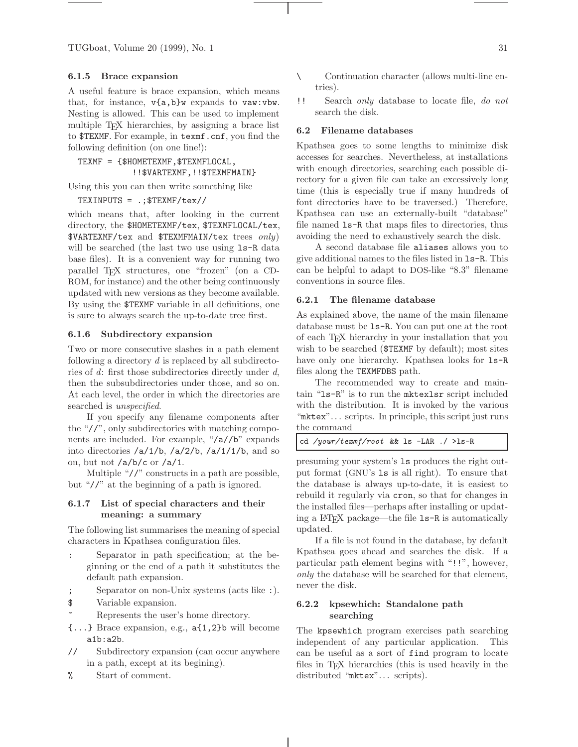TUGboat, Volume 20 (1999), No. 1 31

#### **6.1.5 Brace expansion**

A useful feature is brace expansion, which means that, for instance, v{a,b}w expands to vaw:vbw. Nesting is allowed. This can be used to implement multiple T<sub>E</sub>X hierarchies, by assigning a brace list to \$TEXMF. For example, in texmf.cnf, you find the following definition (on one line!):

TEXMF = {\$HOMETEXMF,\$TEXMFLOCAL, !!\$VARTEXMF,!!\$TEXMFMAIN}

Using this you can then write something like

TEXINPUTS = .;\$TEXMF/tex//

which means that, after looking in the current directory, the \$HOMETEXMF/tex, \$TEXMFLOCAL/tex, \$VARTEXMF/tex and \$TEXMFMAIN/tex trees *only*) will be searched (the last two use using  $ls-R$  data base files). It is a convenient way for running two parallel TEX structures, one "frozen" (on a CD-ROM, for instance) and the other being continuously updated with new versions as they become available. By using the \$TEXMF variable in all definitions, one is sure to always search the up-to-date tree first.

#### **6.1.6 Subdirectory expansion**

Two or more consecutive slashes in a path element following a directory *d* is replaced by all subdirectories of *d*: first those subdirectories directly under *d*, then the subsubdirectories under those, and so on. At each level, the order in which the directories are searched is *unspecified*.

If you specify any filename components after the "//", only subdirectories with matching components are included. For example, "/a//b" expands into directories /a/1/b, /a/2/b, /a/1/1/b, and so on, but not /a/b/c or /a/1.

Multiple "//" constructs in a path are possible, but "//" at the beginning of a path is ignored.

# **6.1.7 List of special characters and their meaning: a summary**

The following list summarises the meaning of special characters in Kpathsea configuration files.

- Separator in path specification; at the beginning or the end of a path it substitutes the default path expansion.
- ; Separator on non-Unix systems (acts like :).
- \$ Variable expansion.
	- Represents the user's home directory.
- {...} Brace expansion, e.g., a{1,2}b will become a1b:a2b.
- // Subdirectory expansion (can occur anywhere in a path, except at its begining).
- % Start of comment.
- \ Continuation character (allows multi-line entries).
- !! Search *only* database to locate file, *do not* search the disk.

#### **6.2 Filename databases**

Kpathsea goes to some lengths to minimize disk accesses for searches. Nevertheless, at installations with enough directories, searching each possible directory for a given file can take an excessively long time (this is especially true if many hundreds of font directories have to be traversed.) Therefore, Kpathsea can use an externally-built "database" file named ls-R that maps files to directories, thus avoiding the need to exhaustively search the disk.

A second database file aliases allows you to give additional names to the files listed in ls-R. This can be helpful to adapt to DOS-like "8.3" filename conventions in source files.

#### **6.2.1 The filename database**

As explained above, the name of the main filename database must be ls-R. You can put one at the root of each TEX hierarchy in your installation that you wish to be searched (\$TEXMF by default); most sites have only one hierarchy. Kpathsea looks for  $ls-R$ files along the TEXMFDBS path.

The recommended way to create and maintain "ls-R" is to run the mktexlsr script included with the distribution. It is invoked by the various "mktex"... scripts. In principle, this script just runs the command

| cd /your/texmf/root && ls -LAR ./ >ls-R |
|-----------------------------------------|
|-----------------------------------------|

presuming your system's ls produces the right output format (GNU's ls is all right). To ensure that the database is always up-to-date, it is easiest to rebuild it regularly via cron, so that for changes in the installed files—perhaps after installing or updating a  $\angle M$ <sub>F</sub>X package—the file  $\angle 1$ **s**-R is automatically updated.

If a file is not found in the database, by default Kpathsea goes ahead and searches the disk. If a particular path element begins with "!!", however, *only* the database will be searched for that element, never the disk.

# **6.2.2 kpsewhich: Standalone path searching**

The kpsewhich program exercises path searching independent of any particular application. This can be useful as a sort of find program to locate files in TEX hierarchies (this is used heavily in the distributed "mktex".. . scripts).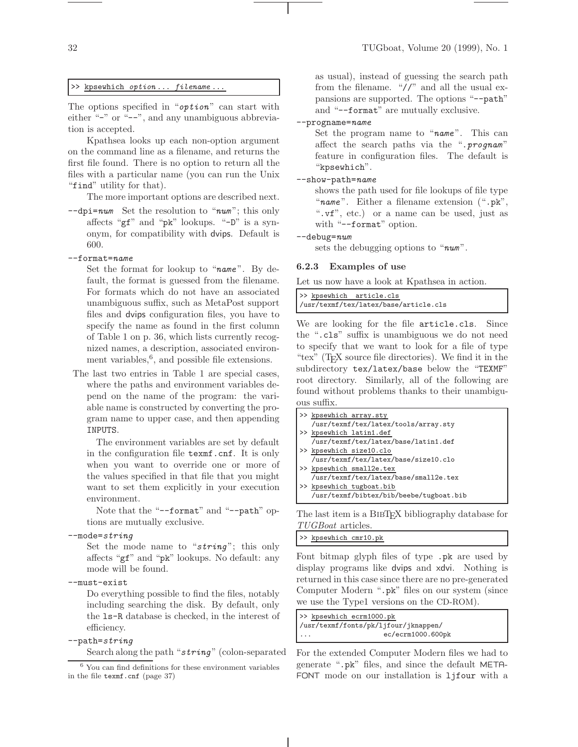#### >> kpsewhich option ... filename ...

The options specified in " $\sigma$ *ption*" can start with either "-" or "--", and any unambiguous abbreviation is accepted.

Kpathsea looks up each non-option argument on the command line as a filename, and returns the first file found. There is no option to return all the files with a particular name (you can run the Unix "find" utility for that).

The more important options are described next.

 $\text{-}$ -dpi=num Set the resolution to "num"; this only affects "gf" and "pk" lookups. "-D" is a synonym, for compatibility with dvips. Default is 600.

#### --format=name

Set the format for lookup to "name". By default, the format is guessed from the filename. For formats which do not have an associated unambiguous suffix, such as MetaPost support files and dvips configuration files, you have to specify the name as found in the first column of Table 1 on p. 36, which lists currently recognized names, a description, associated environment variables, $6$ , and possible file extensions.

The last two entries in Table 1 are special cases, where the paths and environment variables depend on the name of the program: the variable name is constructed by converting the program name to upper case, and then appending INPUTS.

The environment variables are set by default in the configuration file texmf.cnf. It is only when you want to override one or more of the values specified in that file that you might want to set them explicitly in your execution environment.

Note that the "--format" and "--path" options are mutually exclusive.

 $--$ mode=string

Set the mode name to " $string$ "; this only affects "gf" and "pk" lookups. No default: any mode will be found.

--must-exist

Do everything possible to find the files, notably including searching the disk. By default, only the ls-R database is checked, in the interest of efficiency.

# --path=string

Search along the path "string" (colon-separated

as usual), instead of guessing the search path from the filename. "//" and all the usual expansions are supported. The options "--path" and "--format" are mutually exclusive.

# --progname=name

Set the program name to "name". This can affect the search paths via the ".prognam" feature in configuration files. The default is "kpsewhich".

## --show-path=name

shows the path used for file lookups of file type "name". Either a filename extension (".pk", ".vf", etc.) or a name can be used, just as with "--format" option.

#### --debug=num

sets the debugging options to " $num$ ".

#### **6.2.3 Examples of use**

Let us now have a look at Kpathsea in action.

|  | >> kpsewhich article.cls              |  |
|--|---------------------------------------|--|
|  | /usr/texmf/tex/latex/base/article.cls |  |

We are looking for the file article.cls. Since the ".cls" suffix is unambiguous we do not need to specify that we want to look for a file of type "tex" (TEX source file directories). We find it in the subdirectory tex/latex/base below the "TEXMF" root directory. Similarly, all of the following are found without problems thanks to their unambiguous suffix.

| >> kpsewhich array.sty                  |
|-----------------------------------------|
| /usr/texmf/tex/latex/tools/array.sty    |
| >> kpsewhich latin1.def                 |
| /usr/texmf/tex/latex/base/latin1.def    |
| >> kpsewhich size10.clo                 |
| /usr/texmf/tex/latex/base/size10.clo    |
| >> kpsewhich small2e.tex                |
| /usr/texmf/tex/latex/base/small2e.tex   |
| >> kpsewhich tugboat.bib                |
| /usr/texmf/bibtex/bib/beebe/tugboat.bib |
|                                         |

The last item is a BIBT<sub>EX</sub> bibliography database for *TUGBoat* articles.

#### >> kpsewhich cmr10.pk

Font bitmap glyph files of type .pk are used by display programs like dvips and xdvi. Nothing is returned in this case since there are no pre-generated Computer Modern ".pk" files on our system (since we use the Type1 versions on the CD-ROM).

| >> kpsewhich ecrm1000.pk             |  |
|--------------------------------------|--|
| /usr/texmf/fonts/pk/ljfour/jknappen/ |  |
| ec/ecrm1000.600pk<br>$\cdots$        |  |

For the extended Computer Modern files we had to generate ".pk" files, and since the default META-FONT mode on our installation is ljfour with a

<sup>6</sup> You can find definitions for these environment variables in the file texmf.cnf (page 37)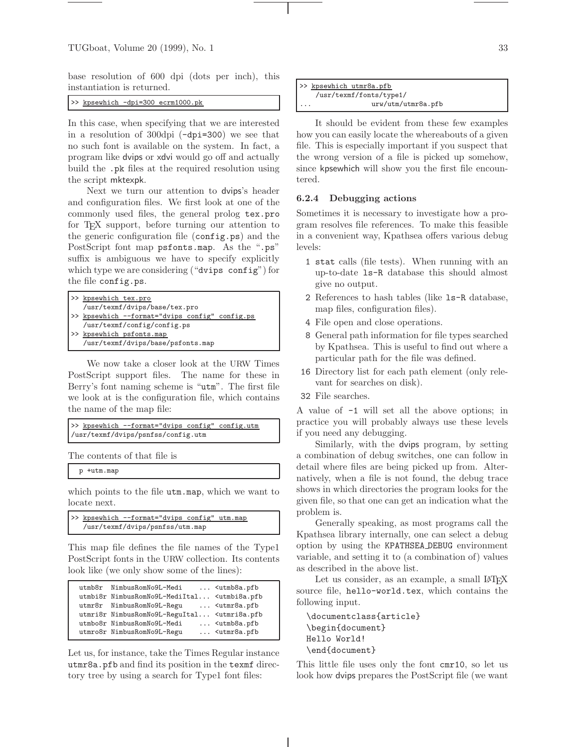base resolution of 600 dpi (dots per inch), this instantiation is returned.

>> kpsewhich -dpi=300 ecrm1000.pk

In this case, when specifying that we are interested in a resolution of 300dpi (-dpi=300) we see that no such font is available on the system. In fact, a program like dvips or xdvi would go off and actually build the .pk files at the required resolution using the script mktexpk.

Next we turn our attention to dvips's header and configuration files. We first look at one of the commonly used files, the general prolog tex.pro for T<sub>E</sub>X support, before turning our attention to the generic configuration file (config.ps) and the PostScript font map psfonts.map. As the ".ps" suffix is ambiguous we have to specify explicitly which type we are considering ("dvips config") for the file config.ps.

| >> kpsewhich tex.pro                           |
|------------------------------------------------|
| /usr/texmf/dvips/base/tex.pro                  |
| >> kpsewhich --format="dvips config" config.ps |
| /usr/texmf/config/config.ps                    |
| >> kpsewhich psfonts.map                       |
| /usr/texmf/dvips/base/psfonts.map              |

We now take a closer look at the URW Times PostScript support files. The name for these in Berry's font naming scheme is "utm". The first file we look at is the configuration file, which contains the name of the map file:

```
>> kpsewhich --format="dvips config" config.utm
/usr/texmf/dvips/psnfss/config.utm
```
The contents of that file is

p +utm.map

which points to the file utm.map, which we want to locate next.

|                                 |  | >> kpsewhich --format="dvips config" utm.map |  |  |
|---------------------------------|--|----------------------------------------------|--|--|
| /usr/texmf/dvips/psnfss/utm.map |  |                                              |  |  |

This map file defines the file names of the Type1 PostScript fonts in the URW collection. Its contents look like (we only show some of the lines):

|  | utmb8r NimbusRomNo9L-Medi                                                   | $\ldots$ <utmb8a.pfb< th=""></utmb8a.pfb<> |
|--|-----------------------------------------------------------------------------|--------------------------------------------|
|  | utmbi8r NimbusRomNo9L-MediItal <utmbi8a.pfb< td=""><td></td></utmbi8a.pfb<> |                                            |
|  | utmr8r NimbusRomNo9L-Regu                                                   | $\ldots$ <utmr8a.pfb< td=""></utmr8a.pfb<> |
|  | utmri8r NimbusRomNo9L-ReguItal <utmri8a.pfb< td=""><td></td></utmri8a.pfb<> |                                            |
|  | utmbo8r NimbusRomNo9L-Medi                                                  | $\ldots$ <utmb8a.pfb< td=""></utmb8a.pfb<> |
|  | utmro8r NimbusRomNo9L-Regu                                                  | <utmr8a.pfb< td=""></utmr8a.pfb<>          |
|  |                                                                             |                                            |

Let us, for instance, take the Times Regular instance utmr8a.pfb and find its position in the texmf directory tree by using a search for Type1 font files:

|          | >> kpsewhich utmr8a.pfb |
|----------|-------------------------|
|          | /usr/texmf/fonts/type1/ |
| $\cdots$ | urw/utm/utmr8a.pfb      |

It should be evident from these few examples how you can easily locate the whereabouts of a given file. This is especially important if you suspect that the wrong version of a file is picked up somehow, since kpsewhich will show you the first file encountered.

#### **6.2.4 Debugging actions**

Sometimes it is necessary to investigate how a program resolves file references. To make this feasible in a convenient way, Kpathsea offers various debug levels:

- 1 stat calls (file tests). When running with an up-to-date ls-R database this should almost give no output.
- 2 References to hash tables (like ls-R database, map files, configuration files).
- 4 File open and close operations.
- 8 General path information for file types searched by Kpathsea. This is useful to find out where a particular path for the file was defined.
- 16 Directory list for each path element (only relevant for searches on disk).
- 32 File searches.

A value of -1 will set all the above options; in practice you will probably always use these levels if you need any debugging.

Similarly, with the dvips program, by setting a combination of debug switches, one can follow in detail where files are being picked up from. Alternatively, when a file is not found, the debug trace shows in which directories the program looks for the given file, so that one can get an indication what the problem is.

Generally speaking, as most programs call the Kpathsea library internally, one can select a debug option by using the KPATHSEA DEBUG environment variable, and setting it to (a combination of) values as described in the above list.

Let us consider, as an example, a small  $\text{LATEX}$ source file, hello-world.tex, which contains the following input.

```
\documentclass{article}
\begin{document}
Hello World!
\end{document}
```
This little file uses only the font cmr10, so let us look how dvips prepares the PostScript file (we want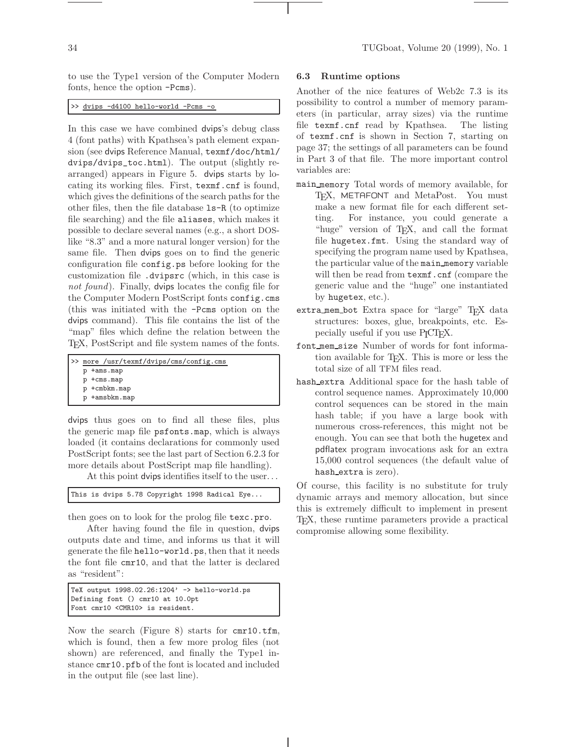to use the Type1 version of the Computer Modern fonts, hence the option -Pcms).

>> dvips -d4100 hello-world -Pcms -o

In this case we have combined dvips's debug class 4 (font paths) with Kpathsea's path element expansion (see dvips Reference Manual, texmf/doc/html/ dvips/dvips\_toc.html). The output (slightly rearranged) appears in Figure 5. dvips starts by locating its working files. First, texmf.cnf is found, which gives the definitions of the search paths for the other files, then the file database ls-R (to optimize file searching) and the file aliases, which makes it possible to declare several names (e.g., a short DOSlike "8.3" and a more natural longer version) for the same file. Then dvips goes on to find the generic configuration file config.ps before looking for the customization file .dvipsrc (which, in this case is *not found*). Finally, dvips locates the config file for the Computer Modern PostScript fonts config.cms (this was initiated with the -Pcms option on the dvips command). This file contains the list of the "map" files which define the relation between the TEX, PostScript and file system names of the fonts.

| >> more /usr/texmf/dvips/cms/config.cms |
|-----------------------------------------|
| p +ams.map                              |
| p +cms.map                              |
| p +cmbkm.map                            |
| p +amsbkm.map                           |

dvips thus goes on to find all these files, plus the generic map file psfonts.map, which is always loaded (it contains declarations for commonly used PostScript fonts; see the last part of Section 6.2.3 for more details about PostScript map file handling).

At this point dvips identifies itself to the user. . .

```
This is dvips 5.78 Copyright 1998 Radical Eye...
```
then goes on to look for the prolog file texc.pro.

After having found the file in question, dvips outputs date and time, and informs us that it will generate the file hello-world.ps, then that it needs the font file cmr10, and that the latter is declared as "resident":

```
TeX output 1998.02.26:1204' -> hello-world.ps
Defining font () cmr10 at 10.0pt
Font cmr10 <CMR10> is resident.
```
Now the search (Figure 8) starts for cmr10.tfm, which is found, then a few more prolog files (not shown) are referenced, and finally the Type1 instance cmr10.pfb of the font is located and included in the output file (see last line).

#### **6.3 Runtime options**

Another of the nice features of Web2c 7.3 is its possibility to control a number of memory parameters (in particular, array sizes) via the runtime file texmf.cnf read by Kpathsea. The listing of texmf.cnf is shown in Section 7, starting on page 37; the settings of all parameters can be found in Part 3 of that file. The more important control variables are:

- main memory Total words of memory available, for T<sub>E</sub>X, METAFONT and MetaPost. You must make a new format file for each different setting. For instance, you could generate a "huge" version of TEX, and call the format file hugetex.fmt. Using the standard way of specifying the program name used by Kpathsea, the particular value of the main memory variable will then be read from texmf.cnf (compare the generic value and the "huge" one instantiated by hugetex, etc.).
- extra\_mem\_bot Extra space for "large" TEX data structures: boxes, glue, breakpoints, etc. Especially useful if you use  $P_{\text{I}}\text{CT}_F X$ .
- font mem size Number of words for font information available for T<sub>E</sub>X. This is more or less the total size of all TFM files read.
- hash extra Additional space for the hash table of control sequence names. Approximately 10,000 control sequences can be stored in the main hash table; if you have a large book with numerous cross-references, this might not be enough. You can see that both the hugetex and pdflatex program invocations ask for an extra 15,000 control sequences (the default value of hash extra is zero).

Of course, this facility is no substitute for truly dynamic arrays and memory allocation, but since this is extremely difficult to implement in present TEX, these runtime parameters provide a practical compromise allowing some flexibility.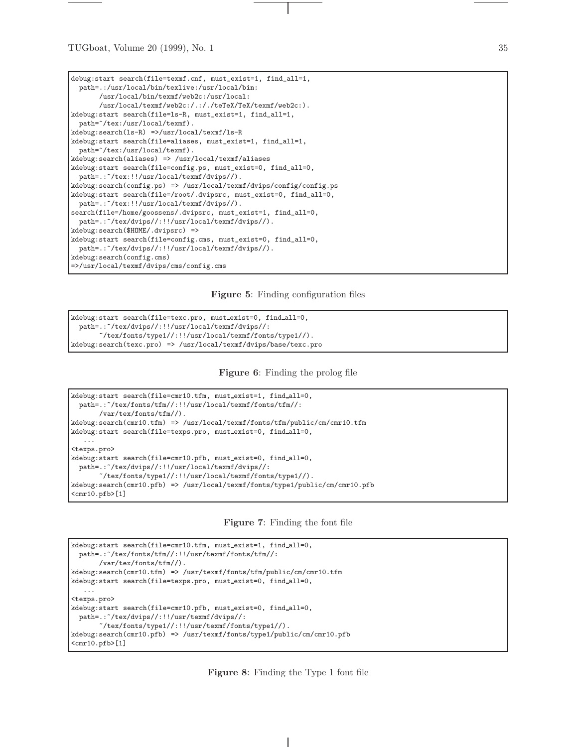| debug: start search(file=texmf.cnf, must_exist=1, find_all=1,<br>path=.:/usr/local/bin/texlive:/usr/local/bin: |
|----------------------------------------------------------------------------------------------------------------|
| /usr/local/bin/texmf/web2c:/usr/local:                                                                         |
| /usr/local/texmf/web2c:/.:/./teTeX/TeX/texmf/web2c:).                                                          |
| kdebug: start search(file=1s-R, must_exist=1, find_all=1,                                                      |
| path="/tex:/usr/local/texmf).                                                                                  |
| $kdebug:search(ls-R)$ =>/usr/local/texmf/ls-R                                                                  |
| kdebug: start search(file=aliases, must_exist=1, find_all=1,                                                   |
| path="/tex:/usr/local/texmf).                                                                                  |
| $k$ debug:search(aliases) => /usr/local/texmf/aliases                                                          |
| kdebug: start search(file=config.ps, must_exist=0, find_all=0,                                                 |
| $path=$ : "/tex:!!/usr/local/texmf/dvips//).                                                                   |
| $k$ debug:search(config.ps) => /usr/local/texmf/dvips/config/config.ps                                         |
| kdebug: start search(file=/root/.dvipsrc, must_exist=0, find_all=0,                                            |
| path=.: "/tex:!!/usr/local/texmf/dvips//).                                                                     |
| search(file=/home/goossens/.dvipsrc, must_exist=1, find_all=0,                                                 |
| path=.: "/tex/dvips//:!!/usr/local/texmf/dvips//).                                                             |
| kdebug:search(\$HOME/.dvipsrc) =>                                                                              |
| kdebug: start search(file=config.cms, must_exist=0, find_all=0,                                                |
| path=.: "/tex/dvips//:!!/usr/local/texmf/dvips//).                                                             |
| kdebug:search(config.cms)                                                                                      |
| =>/usr/local/texmf/dvips/cms/config.cms                                                                        |

**Figure 5**: Finding configuration files

```
kdebug:start search(file=texc.pro, must exist=0, find all=0,
 path=.:~/tex/dvips//:!!/usr/local/texmf/dvips//:
       ~/tex/fonts/type1//:!!/usr/local/texmf/fonts/type1//).
kdebug:search(texc.pro) => /usr/local/texmf/dvips/base/texc.pro
```
**Figure 6**: Finding the prolog file

```
kdebug:start search(file=cmr10.tfm, must_exist=1, find_all=0,
 path=.:~/tex/fonts/tfm//:!!/usr/local/texmf/fonts/tfm//:
       /var/tex/fonts/tfm//).
kdebug:search(cmr10.tfm) => /usr/local/texmf/fonts/tfm/public/cm/cmr10.tfm
kdebug:start search(file=texps.pro, must exist=0, find all=0,
   ...
<texps.pro>
kdebug:start search(file=cmr10.pfb, must exist=0, find all=0,
 path=.:~/tex/dvips//:!!/usr/local/texmf/dvips//:
       ~/tex/fonts/type1//:!!/usr/local/texmf/fonts/type1//).
kdebug:search(cmr10.pfb) => /usr/local/texmf/fonts/type1/public/cm/cmr10.pfb
<cmr10.pfb>[1]
```
**Figure 7**: Finding the font file

```
kdebug:start search(file=cmr10.tfm, must_exist=1, find_all=0,
  path=.:~/tex/fonts/tfm//:!!/usr/texmf/fonts/tfm//:
        /var/tex/fonts/tfm//).
kdebug:search(cmr10.tfm) => /usr/texmf/fonts/tfm/public/cm/cmr10.tfm
kdebug:start search(file=texps.pro, must exist=0, find all=0,
   ...
<texps.pro>
kdebug:start search(file=cmr10.pfb, must exist=0, find all=0,
  path=.:~/tex/dvips//:!!/usr/texmf/dvips//:
       ^\sim\!/ \texttt{text/} \texttt{fonts/type1}/\!/ \texttt{!} \cdot \texttt{!} / \texttt{usr/} \texttt{fonts/type1}/\!/ \texttt{)}.kdebug:search(cmr10.pfb) => /usr/texmf/fonts/type1/public/cm/cmr10.pfb
\langlecmr10.pfb>[1]
```
**Figure 8**: Finding the Type 1 font file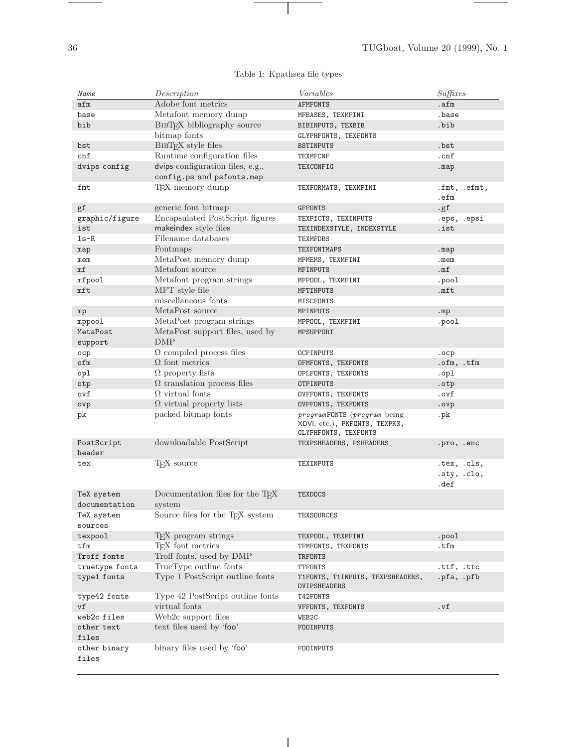۰

| Name                        | Description                                            | Variables                                                                            | Suffixes                           |
|-----------------------------|--------------------------------------------------------|--------------------------------------------------------------------------------------|------------------------------------|
| afm                         | Adobe font metrics                                     | <b>AFMFONTS</b>                                                                      | .afm                               |
| base                        | Metafont memory dump                                   | MFBASES, TEXMFINI                                                                    | .base                              |
| bib                         | BIBT <sub>F</sub> X bibliography source                | BIBINPUTS, TEXBIB                                                                    | .bib                               |
|                             | bitmap fonts                                           | GLYPHFONTS, TEXFONTS                                                                 |                                    |
| bst                         | BIBTFX style files                                     | <b>BSTINPUTS</b>                                                                     | .bst                               |
| cnf                         | Runtime configuration files                            | <b>TEXMFCNF</b>                                                                      | .cnf                               |
| dvips config                | dvips configuration files, e.g.,                       | TEXCONFIG                                                                            | .map                               |
|                             | config.ps and psfonts.map                              |                                                                                      |                                    |
| fmt                         | T <sub>F</sub> X memory dump                           | TEXFORMATS, TEXMFINI                                                                 | .fmt, .efmt,<br>.efm               |
| gf                          | generic font bitmap                                    | <b>GFFONTS</b>                                                                       | . g f                              |
| graphic/figure              | Encapsulated PostScript figures                        | TEXPICTS, TEXINPUTS                                                                  | .eps, .epsi                        |
| ist                         | makeindex style files                                  | TEXINDEXSTYLE, INDEXSTYLE                                                            | .ist                               |
| $ls-R$                      | Filename databases                                     | TEXMFDBS                                                                             |                                    |
| map                         | Fontmaps                                               | TEXFONTMAPS                                                                          | .map                               |
| mem                         | MetaPost memory dump                                   | MPMEMS, TEXMFINI                                                                     | .mem                               |
| mf                          | Metafont source                                        | <b>MFINPUTS</b>                                                                      | .mf                                |
| mfpool                      | Metafont program strings                               | MFPOOL, TEXMFINI                                                                     | .pool                              |
| mft                         | MFT style file                                         | MFTINPUTS                                                                            | .mft                               |
|                             | miscellaneous fonts                                    | MISCFONTS                                                                            |                                    |
| mp                          | MetaPost source                                        | MPINPUTS                                                                             | .mp                                |
| mppool                      | MetaPost program strings                               | MPPOOL, TEXMFINI                                                                     | .pool                              |
| MetaPost                    | MetaPost support files, used by                        | MPSUPPORT                                                                            |                                    |
| support                     | DMP                                                    |                                                                                      |                                    |
| оср                         | $\Omega$ compiled process files                        | OCPINPUTS                                                                            | .ocp                               |
| ofm                         | $\Omega$ font metrics                                  | OFMFONTS, TEXFONTS                                                                   | .ofm, .tfm                         |
| opl                         | $\Omega$ property lists                                | OPLFONTS, TEXFONTS                                                                   | .opl                               |
| otp                         | $\Omega$ translation process files                     | <b>OTPINPUTS</b>                                                                     | .otp                               |
| ovf                         | $\Omega$ virtual fonts                                 | OVFFONTS, TEXFONTS                                                                   | .ovf                               |
| ovp                         | $\Omega$ virtual property lists                        | OVPFONTS, TEXFONTS                                                                   | .ovp                               |
| pk                          | packed bitmap fonts                                    | programFONTS (program being<br>XDVI, etc.), PKFONTS, TEXPKS,<br>GLYPHFONTS, TEXFONTS | . <sub>pk</sub>                    |
| PostScript<br>header        | downloadable PostScript                                | TEXPSHEADERS, PSHEADERS                                                              | .pro, .enc                         |
| tex                         | T <sub>F</sub> X source                                | TEXINPUTS                                                                            | .tex, .cls,<br>.sty, .clo,<br>.def |
| TeX system<br>documentation | Documentation files for the T <sub>F</sub> X<br>system | <b>TEXDOCS</b>                                                                       |                                    |
| TeX system                  | Source files for the TEX system                        | TEXSOURCES                                                                           |                                    |
| sources                     |                                                        |                                                                                      |                                    |
| texpool                     | T <sub>E</sub> X program strings                       | TEXPOOL, TEXMFINI                                                                    | .pool                              |
| tfm                         | T <sub>F</sub> X font metrics                          | TFMFONTS, TEXFONTS                                                                   | .tfm                               |
| Troff fonts                 | Troff fonts, used by DMP                               | TRFONTS                                                                              |                                    |
| truetype fonts              | TrueType outline fonts                                 | TTFONTS                                                                              | .ttf, .ttc                         |
| type1 fonts                 | Type 1 PostScript outline fonts                        | T1FONTS, T1INPUTS, TEXPSHEADERS,<br>DVIPSHEADERS                                     | .pfa, .pfb                         |
| type42 fonts                | Type 42 PostScript outline fonts                       | T42FONTS                                                                             |                                    |
| vf                          | virtual fonts                                          | VFFONTS, TEXFONTS                                                                    | .vf                                |
| web2c files                 | Web2c support files                                    | WEB2C                                                                                |                                    |
| other text<br>files         | text files used by 'foo'                               | FOOINPUTS                                                                            |                                    |
| other binary<br>files       | binary files used by 'foo'                             | FOOINPUTS                                                                            |                                    |

 $\overline{\phantom{a}}$ 

# Table 1: Kpathsea file types

 $\mathbf{I}$ 

 $\overbrace{\hspace{25mm}}$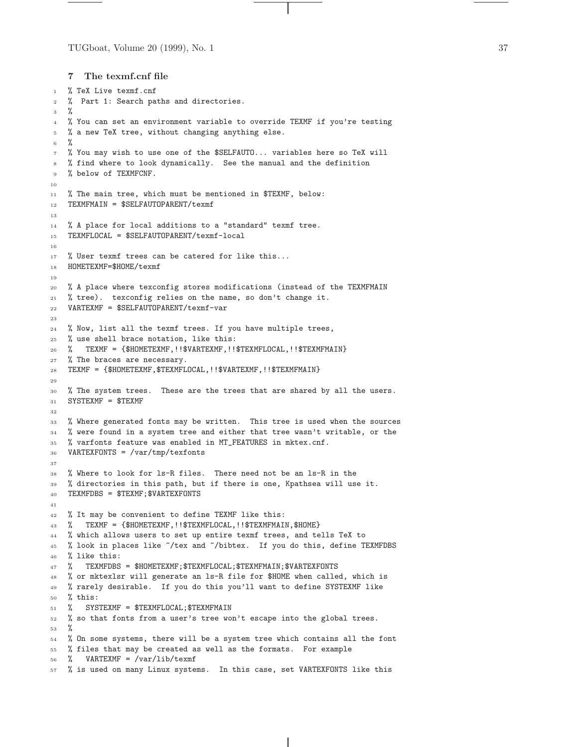```
7 The texmf.cnf file
```

```
1 % TeX Live texmf.cnf
2 % Part 1: Search paths and directories.
   \frac{9}{6}4 % You can set an environment variable to override TEXMF if you're testing
5 % a new TeX tree, without changing anything else.
6 %
   7 % You may wish to use one of the $SELFAUTO... variables here so TeX will
   8 % find where to look dynamically. See the manual and the definition
   % below of TEXMFCNF.
10
11 % The main tree, which must be mentioned in $TEXMF, below:
12 TEXMFMAIN = $SELFAUTOPARENT/texmf
13
14 % A place for local additions to a "standard" texmf tree.
15 TEXMFLOCAL = $SELFAUTOPARENT/texmf-local
16
17 % User texmf trees can be catered for like this...
18 HOMETEXMF=$HOME/texmf
19
20 % A place where texconfig stores modifications (instead of the TEXMFMAIN
21 % tree). texconfig relies on the name, so don't change it.
22 VARTEXMF = $SELFAUTOPARENT/texmf-var
23
24 % Now, list all the texmf trees. If you have multiple trees,
25 % use shell brace notation, like this:
26 % TEXMF = {$HOMETEXMF,!!$VARTEXMF,!!$TEXMFLOCAL,!!$TEXMFMAIN}
27 % The braces are necessary.
28 TEXMF = {$HOMETEXMF,$TEXMFLOCAL,!!$VARTEXMF,!!$TEXMFMAIN}
29
30 % The system trees. These are the trees that are shared by all the users.
31 SYSTEXMF = $TEXMF
32
33 % Where generated fonts may be written. This tree is used when the sources
34 % were found in a system tree and either that tree wasn't writable, or the
35 % varfonts feature was enabled in MT_FEATURES in mktex.cnf.
36 VARTEXFONTS = /var/tmp/texfonts
37
38 % Where to look for ls-R files. There need not be an ls-R in the
39 % directories in this path, but if there is one, Kpathsea will use it.
40 TEXMFDBS = $TEXMF;$VARTEXFONTS
41
42 % It may be convenient to define TEXMF like this:
43 % TEXMF = {$HOMETEXMF,!!$TEXMFLOCAL,!!$TEXMFMAIN,$HOME}
44 % which allows users to set up entire texmf trees, and tells TeX to
45 % look in places like ~/tex and ~/bibtex. If you do this, define TEXMFDBS
46 % like this:
47 % TEXMFDBS = $HOMETEXMF;$TEXMFLOCAL;$TEXMFMAIN;$VARTEXFONTS
   48 % or mktexlsr will generate an ls-R file for $HOME when called, which is
   49 % rarely desirable. If you do this you'll want to define SYSTEXMF like
50 % this:
51 % SYSTEXMF = $TEXMFLOCAL;$TEXMFMAIN
52 % so that fonts from a user's tree won't escape into the global trees.
53 %
54 % On some systems, there will be a system tree which contains all the font
55 % files that may be created as well as the formats. For example
  56 % VARTEXMF = /var/lib/texmf
   57 % is used on many Linux systems. In this case, set VARTEXFONTS like this
```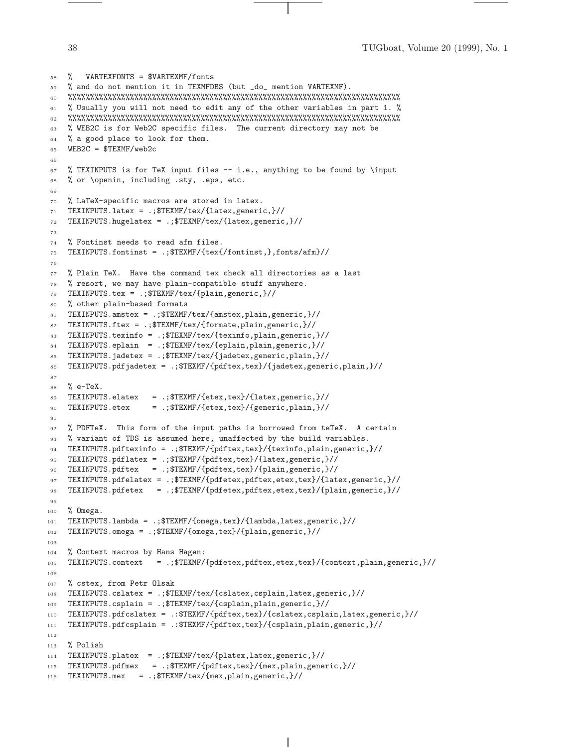```
58 % VARTEXFONTS = $VARTEXMF/fonts
 59 % and do not mention it in TEXMFDBS (but _do_ mention VARTEXMF).
 60 %%%%%%%%%%%%%%%%%%%%%%%%%%%%%%%%%%%%%%%%%%%%%%%%%%%%%%%%%%%%%%%%%%%%%%%%%%%
 61 % Usually you will not need to edit any of the other variables in part 1. %
 62 %%%%%%%%%%%%%%%%%%%%%%%%%%%%%%%%%%%%%%%%%%%%%%%%%%%%%%%%%%%%%%%%%%%%%%%%%%%
 63 % WEB2C is for Web2C specific files. The current directory may not be
 64 % a good place to look for them.
 65 WEB2C = $TEXMF/web2c
 66
 67 % TEXINPUTS is for TeX input files -- i.e., anything to be found by \input
 68 % or \openin, including .sty, .eps, etc.
 69
 70 % LaTeX-specific macros are stored in latex.
 71 TEXINPUTS.latex = .;$TEXMF/tex/{latex,generic,}//
72 TEXINPUTS.hugelatex = .;$TEXMF/tex/{latex,generic,}//
 73
 74 % Fontinst needs to read afm files.
 75 TEXINPUTS.fontinst = .; TETEXMF/\{textfor 1}\, fonts/afm}//
 76
 77 % Plain TeX. Have the command tex check all directories as a last
 78 % resort, we may have plain-compatible stuff anywhere.
 79 TEXINPUTS.tex = .;$TEXMF/tex/{plain,generic,}//
 80 % other plain-based formats
 81 TEXINPUTS.amstex = .;$TEXMF/tex/{amstex,plain,generic,}//
 82 TEXINPUTS.ftex = .;$TEXMF/tex/{formate,plain,generic,}//
 83 TEXINPUTS.texinfo = .;$TEXMF/tex/{texinfo,plain,generic,}//
 84 TEXINPUTS.eplain = .;$TEXMF/tex/{eplain,plain,generic,}//
 85 TEXINPUTS.jadetex = .;$TEXMF/tex/{jadetex,generic,plain,}//
 86 TEXINPUTS.pdfjadetex = .;$TEXMF/{pdftex,tex}/{jadetex,generic,plain,}//
 87
 88 \frac{\%}{\degree} e-TeX.
 89 TEXINPUTS.elatex = .;$TEXMF/{etex,tex}/{latex,generic,}//
 90 TEXINPUTS.etex = .;$TEXMF/{etex,tex}/{generic,plain,}//
 91
92 % PDFTeX. This form of the input paths is borrowed from teTeX. A certain
93 % variant of TDS is assumed here, unaffected by the build variables.
94 TEXINPUTS.pdftexinfo = .;$TEXMF/{pdftex,tex}/{texinfo,plain,generic,}//
 95 TEXINPUTS.pdflatex = .;$TEXMF/{pdftex,tex}/{latex,generic,}//
 96 TEXINPUTS.pdftex = .; T_X = \frac{1}{2} \frac{1}{2} \frac{1}{2} \frac{1}{2} \frac{1}{2} \frac{1}{2} \frac{1}{2} \frac{1}{2} \frac{1}{2} \frac{1}{2} \frac{1}{2} \frac{1}{2} \frac{1}{2} \frac{1}{2} \frac{1}{2} \frac{1}{2} \frac{1}{2} \frac{1}{2} \frac{1}{2} \frac{1}{2} \frac{1}{2} \frac{1}{2} \frac{1}{2} \frac{1}{2} \frac{1}{2} \frac{1}{2} \frac{1}{2} \97 TEXINPUTS.pdfelatex = .;$TEXMF/{pdfetex,pdftex,etex,tex}/{latex,generic,}//
98 TEXINPUTS.pdfetex = .;$TEXMF/{pdfetex,pdftex,etex,tex}/{plain,generic,}//
99
100 % Omega.
101 TEXINPUTS.lambda = .; TEXMF/{\text{1ambda,latex,generic,}}102 TEXINPUTS.omega = .;$TEXMF/{omega,tex}/{plain,generic,}//
103
104 % Context macros by Hans Hagen:
105 TEXINPUTS.context = .; TEXMF/{\text{pdfetex}}, pdftex, etex, tex}/{context, plain, generic, }//
106
107 % cstex, from Petr Olsak
108 TEXINPUTS.cslatex = .;$TEXMF/tex/{cslatex,csplain,latex,generic,}//
109 TEXINPUTS.csplain = .;$TEXMF/tex/{csplain,plain,generic,}//
110 TEXINPUTS.pdfcslatex = .:$TEXMF/{pdftex,tex}/{cslatex,csplain,latex,generic,}//
111 TEXINPUTS.pdfcsplain = .:$TEXMF/{pdftex,tex}/{csplain,plain,generic,}//
112
113 % Polish
114 TEXINPUTS.platex = .;$TEXMF/tex/{platex,latex,generic,}//
115 TEXINPUTS.pdfmex = .;$TEXMF/{pdftex,tex}/{mex,plain,generic,}//
116 TEXINPUTS.mex = .;$TEXMF/tex/{mex,plain,generic,}//
```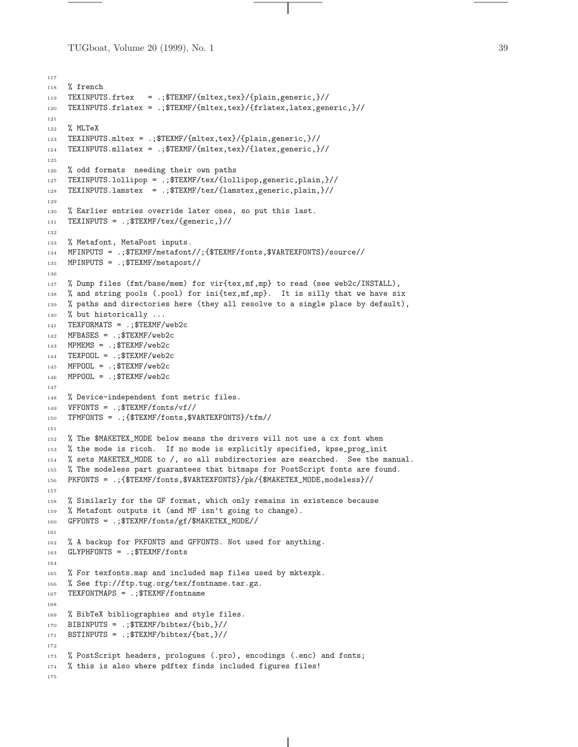TUGboat, Volume 20 (1999), No. 1 39

```
117
118 % french
119 TEXINPUTS.frtex = .;$TEXMF/{mltex,tex}/{plain,generic,}//
120 TEXINPUTS.frlatex = .;$TEXMF/{mltex,tex}/{frlatex,latex,generic,}//
121
122 % MLTeX
123 TEXINPUTS.mltex = .;$TEXMF/{mltex,tex}/{plain,generic,}//
124 TEXINPUTS.mllatex = .;$TEXMF/{mltex,tex}/{latex,generic,}//
125
126 % odd formats needing their own paths
127 TEXINPUTS.lollipop = .;$TEXMF/tex/{lollipop,generic,plain,}//
128 TEXINPUTS.lamstex = .;$TEXMF/tex/{lamstex,generic,plain,}//
129
130 % Earlier entries override later ones, so put this last.
131 TEXINPUTS = .;$TEXMF/tex/{generic,}//
132
133 % Metafont, MetaPost inputs.
134 MFINPUTS = .;$TEXMF/metafont//;{$TEXMF/fonts,$VARTEXFONTS}/source//
135 MPINPUTS = .;$TEXMF/metapost//
136
137 % Dump files (fmt/base/mem) for vir{tex,mf,mp} to read (see web2c/INSTALL),
138 % and string pools (.pool) for ini{tex,mf,mp}. It is silly that we have six
139 % paths and directories here (they all resolve to a single place by default),
140 % but historically ...
141 TEXFORMATS = .;$TEXMF/web2c
142 MFBASES = .;$TEXMF/web2c
143 MPMEMS = .; TEXMF/web2c144 TEXPOOL = .; TEXMF/web2c145 MFPOOL = .; TEXMF/web2c146 MPPOOL = .; TEXMF/web2c147
148 % Device-independent font metric files.
149 VFFONTS = .; TEXMF/fonts/vf150 TFMFONTS = .;{$TEXMF/fonts,$VARTEXFONTS}/tfm//
151
152 % The $MAKETEX_MODE below means the drivers will not use a cx font when
153 % the mode is ricoh. If no mode is explicitly specified, kpse_prog_init
154 % sets MAKETEX_MODE to /, so all subdirectories are searched. See the manual.
155 % The modeless part guarantees that bitmaps for PostScript fonts are found.
156 PKFONTS = .;{$TEXMF/fonts,$VARTEXFONTS}/pk/{$MAKETEX_MODE,modeless}//
157
158 % Similarly for the GF format, which only remains in existence because
159 % Metafont outputs it (and MF isn't going to change).
160 GFFONTS = .;$TEXMF/fonts/gf/$MAKETEX_MODE//
161
162 % A backup for PKFONTS and GFFONTS. Not used for anything.
163 GLYPHFONTS = .;$TEXMF/fonts
164
165 % For texfonts.map and included map files used by mktexpk.
166 % See ftp://ftp.tug.org/tex/fontname.tar.gz.
167 TEXFONTMAPS = .;$TEXMF/fontname
168
169 % BibTeX bibliographies and style files.
170 BIBINPUTS = .; TEXMF/bibtex/6ib, \}//6171 BSTINPUTS = .; TEXMF/bibtex/{b}172
173 % PostScript headers, prologues (.pro), encodings (.enc) and fonts;
174 % this is also where pdftex finds included figures files!
175
```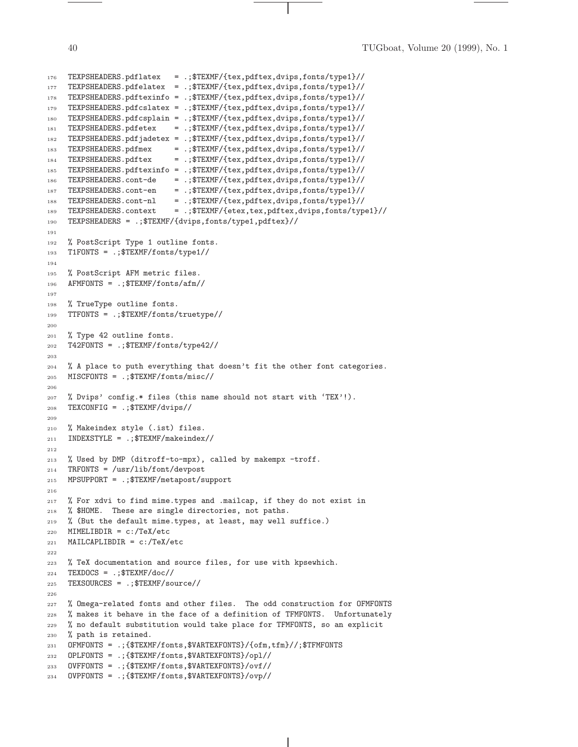```
176 TEXPSHEADERS.pdflatex = .;$TEXMF/{tex,pdftex,dvips,fonts/type1}//
177 TEXPSHEADERS.pdfelatex = .;$TEXMF/{tex,pdftex,dvips,fonts/type1}//
178 TEXPSHEADERS.pdftexinfo = .;$TEXMF/{tex,pdftex,dvips,fonts/type1}//
179 TEXPSHEADERS.pdfcslatex = .;$TEXMF/{tex,pdftex,dvips,fonts/type1}//
180 TEXPSHEADERS.pdfcsplain = .;$TEXMF/{tex,pdftex,dvips,fonts/type1}//
181 TEXPSHEADERS.pdfetex = .;$TEXMF/{tex,pdftex,dvips,fonts/type1}//
182 TEXPSHEADERS.pdfjadetex = .;$TEXMF/{tex,pdftex,dvips,fonts/type1}//
183 TEXPSHEADERS.pdfmex = .;$TEXMF/{tex,pdftex,dvips,fonts/type1}//
184 TEXPSHEADERS.pdftex = .;$TEXMF/{tex,pdftex,dvips,fonts/type1}//
185 TEXPSHEADERS.pdftexinfo = .;$TEXMF/{tex,pdftex,dvips,fonts/type1}//
186 TEXPSHEADERS.cont-de = .;$TEXMF/{tex,pdftex,dvips,fonts/type1}//
187 TEXPSHEADERS.cont-en = .;$TEXMF/{tex,pdftex,dvips,fonts/type1}//
188 TEXPSHEADERS.cont-nl = .;$TEXMF/{tex,pdftex,dvips,fonts/type1}//
189 TEXPSHEADERS.context = .;$TEXMF/{etex,tex,pdftex,dvips,fonts/type1}//
190 TEXPSHEADERS = .;$TEXMF/{dvips,fonts/type1,pdftex}//
191
192 % PostScript Type 1 outline fonts.
193 T1FONTS = .;$TEXMF/fonts/type1//
194
195 % PostScript AFM metric files.
196 AFMFONTS = .; TEXMF/fonts/afm/197
198 % TrueType outline fonts.
199 TTFONTS = .;$TEXMF/fonts/truetype//
200
201 % Type 42 outline fonts.
202 T42FONTS = .;$TEXMF/fonts/type42//
203
204 % A place to puth everything that doesn't fit the other font categories.
205 MISCFONTS = .;$TEXMF/fonts/misc//
206
207 % Dvips' config.* files (this name should not start with 'TEX'!).
208 TEXCONFIG = .;$TEXMF/dvips//
209
210 % Makeindex style (.ist) files.
211 INDEXSTYLE = .; TEXMF/makeindex212
213 % Used by DMP (ditroff-to-mpx), called by makempx -troff.
214 TRFONTS = /usr/lib/font/devpost
215 MPSUPPORT = .;$TEXMF/metapost/support
216
217 % For xdvi to find mime.types and .mailcap, if they do not exist in
218 % $HOME. These are single directories, not paths.
219 % (But the default mime.types, at least, may well suffice.)
220 MIMELIBDIR = c:/TeX/etc
221 MAILCAPLIBDIR = c:/TeX/etc
222
223 % TeX documentation and source files, for use with kpsewhich.
224 TEXDOCS = .; TEXMF/doc225 TEXSOURCES = .;$TEXMF/source//
226
227 % Omega-related fonts and other files. The odd construction for OFMFONTS
228 % makes it behave in the face of a definition of TFMFONTS. Unfortunately
229 % no default substitution would take place for TFMFONTS, so an explicit
230 % path is retained.
231 OFMFONTS = .;{$TEXMF/fonts,$VARTEXFONTS}/{ofm,tfm}//;$TFMFONTS
232 OPLFONTS = .;{$TEXMF/fonts,$VARTEXFONTS}/opl//
233 OVFFONTS = .;{$TEXMF/fonts,$VARTEXFONTS}/ovf//
234 OVPFONTS = .;{$TEXMF/fonts,$VARTEXFONTS}/ovp//
```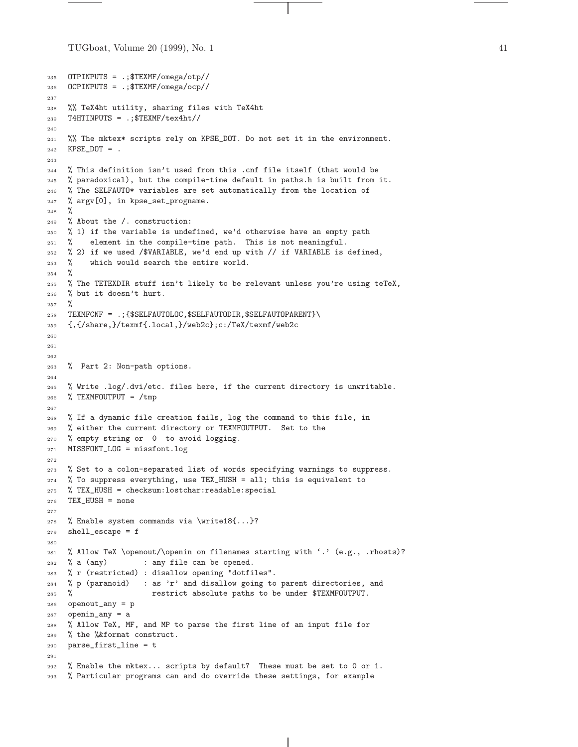TUGboat, Volume 20 (1999), No. 1  $\qquad 41$ 

```
235 OTPINPUTS = .;$TEXMF/omega/otp//
236 OCPINPUTS = .;$TEXMF/omega/ocp//
237
238 %% TeX4ht utility, sharing files with TeX4ht
239 T4HTINPUTS = .;$TEXMF/tex4ht//
240
241 %% The mktex* scripts rely on KPSE_DOT. Do not set it in the environment.
242 KPSE_DOT = .
243
244 % This definition isn't used from this .cnf file itself (that would be
245 % paradoxical), but the compile-time default in paths.h is built from it.
246 % The SELFAUTO* variables are set automatically from the location of
247 % argv[0], in kpse_set_progname.
248 %
249 % About the /. construction:
250 % 1) if the variable is undefined, we'd otherwise have an empty path
251 % element in the compile-time path. This is not meaningful.
252 % 2) if we used /$VARIABLE, we'd end up with // if VARIABLE is defined,
253 % which would search the entire world.
254 %
255 % The TETEXDIR stuff isn't likely to be relevant unless you're using teTeX,
256 % but it doesn't hurt.
257 %
258 TEXMFCNF = .; {$SELFAUTOLOC, $SELFAUTODIR, $SELFAUTOPARENT}\
259 {,{/share,}/texmf{.local,}/web2c};c:/TeX/texmf/web2c
260
261
262
263 % Part 2: Non-path options.
264
265 % Write .log/.dvi/etc. files here, if the current directory is unwritable.
266 % TEXMFOUTPUT = /tmp
267
268 % If a dynamic file creation fails, log the command to this file, in
269 % either the current directory or TEXMFOUTPUT. Set to the
270 % empty string or 0 to avoid logging.
271 MISSFONT_LOG = missfont.log
272
273 % Set to a colon-separated list of words specifying warnings to suppress.
274 % To suppress everything, use TEX_HUSH = all; this is equivalent to
275 % TEX_HUSH = checksum:lostchar:readable:special
276 TEX_HUSH = none
277
278 % Enable system commands via \write18{...}?
279 shell_escape = f
280
281 % Allow TeX \openout/\openin on filenames starting with '.' (e.g., .rhosts)?
282 % a (any) : any file can be opened.
283 % r (restricted) : disallow opening "dotfiles".
284 % p (paranoid) : as 'r' and disallow going to parent directories, and
285 % restrict absolute paths to be under $TEXMFOUTPUT.
286 openout_any = p
287 openin_any = a
288 % Allow TeX, MF, and MP to parse the first line of an input file for
289 % the %&format construct.
290 parse_first_line = t
291
292 % Enable the mktex... scripts by default? These must be set to 0 or 1.
293 % Particular programs can and do override these settings, for example
```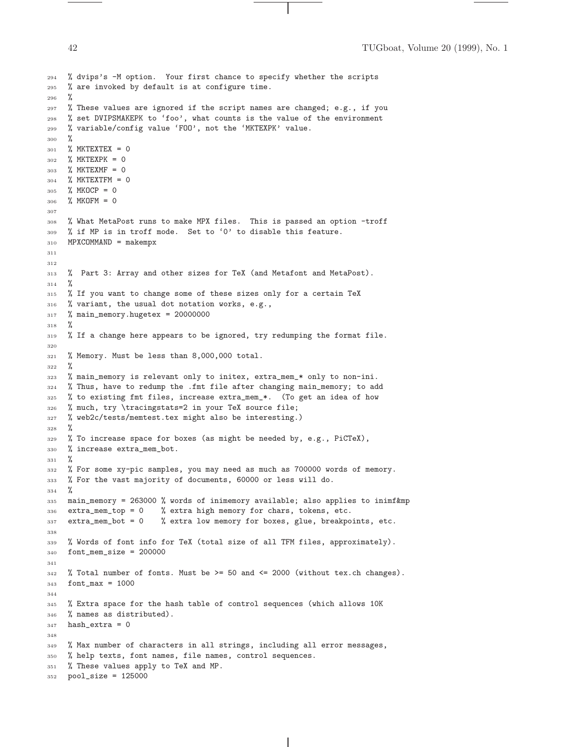```
294 % dvips's -M option. Your first chance to specify whether the scripts
295 % are invoked by default is at configure time.
296 %
297 % These values are ignored if the script names are changed; e.g., if you
298 % set DVIPSMAKEPK to 'foo', what counts is the value of the environment
    % variable/config value 'FOO', not the 'MKTEXPK' value.
300 %
301 % MKTEXTEX = 0
302 % MKTEXPK = 0
303 % MKTEXMF = 0
304 % MKTEXTFM = 0
305 % MKOCP = 0
306 % MKOFM = 0
307
308 % What MetaPost runs to make MPX files. This is passed an option -troff
309 % if MP is in troff mode. Set to '0' to disable this feature.
310 MPXCOMMAND = makempx
311
312
313 % Part 3: Array and other sizes for TeX (and Metafont and MetaPost).
314 %
315 % If you want to change some of these sizes only for a certain TeX
316 % variant, the usual dot notation works, e.g.,
317 % main_memory.hugetex = 20000000
318 %
319 % If a change here appears to be ignored, try redumping the format file.
320
321 % Memory. Must be less than 8,000,000 total.
322 \frac{9}{6}323 % main_memory is relevant only to initex, extra_mem_* only to non-ini.
324 % Thus, have to redump the .fmt file after changing main_memory; to add
325 % to existing fmt files, increase extra_mem_*. (To get an idea of how
326 % much, try \tracingstats=2 in your TeX source file;
327 % web2c/tests/memtest.tex might also be interesting.)
328 %
329 % To increase space for boxes (as might be needed by, e.g., PiCTeX),
330 % increase extra_mem_bot.
331 \frac{9}{6}332 % For some xy-pic samples, you may need as much as 700000 words of memory.
333 % For the vast majority of documents, 60000 or less will do.
334 %
335 main_memory = 263000 % words of inimemory available; also applies to inimf&mp
336 extra_mem_top = 0 % extra high memory for chars, tokens, etc.
337 extra_mem_bot = 0 % extra low memory for boxes, glue, breakpoints, etc.
338
339 % Words of font info for TeX (total size of all TFM files, approximately).
340 font_mem_size = 200000
341
342 % Total number of fonts. Must be >= 50 and <= 2000 (without tex.ch changes).
343 font max = 1000
344
345 % Extra space for the hash table of control sequences (which allows 10K
346 % names as distributed).
347 hash_extra = 0
348
349 % Max number of characters in all strings, including all error messages,
350 % help texts, font names, file names, control sequences.
351 % These values apply to TeX and MP.
352 pool_size = 125000
```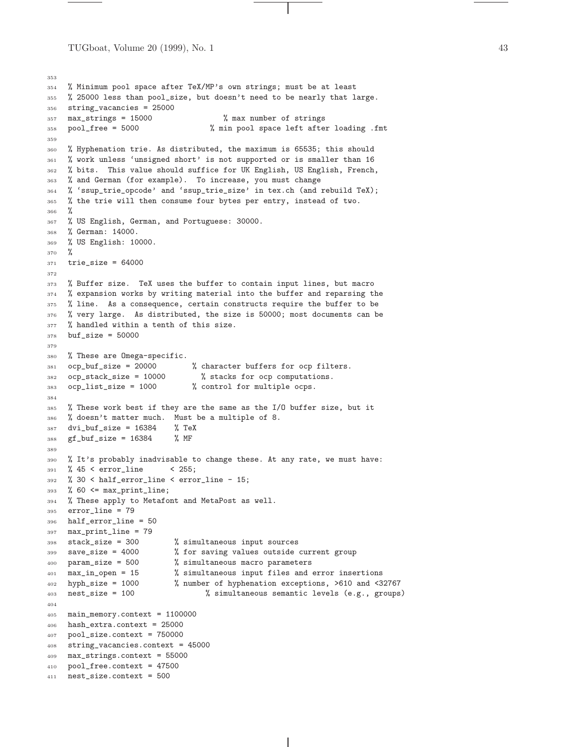TUGboat, Volume 20 (1999), No. 1  $\qquad 43$ 

```
353
354 % Minimum pool space after TeX/MP's own strings; must be at least
355 % 25000 less than pool_size, but doesn't need to be nearly that large.
356 string_vacancies = 25000
357 max_strings = 15000 % max number of strings
358 pool_free = 5000 % min pool space left after loading .fmt
359
360 % Hyphenation trie. As distributed, the maximum is 65535; this should
361 % work unless 'unsigned short' is not supported or is smaller than 16
362 % bits. This value should suffice for UK English, US English, French,
363 % and German (for example). To increase, you must change
364 % 'ssup_trie_opcode' and 'ssup_trie_size' in tex.ch (and rebuild TeX);
365 % the trie will then consume four bytes per entry, instead of two.
366 %
367 % US English, German, and Portuguese: 30000.
368 % German: 14000.
369 % US English: 10000.
370 %
371 trie_size = 64000
372
373 % Buffer size. TeX uses the buffer to contain input lines, but macro
374 % expansion works by writing material into the buffer and reparsing the
375 % line. As a consequence, certain constructs require the buffer to be
376 % very large. As distributed, the size is 50000; most documents can be
377 % handled within a tenth of this size.
378 buf_size = 50000
379
380 % These are Omega-specific.
381 ocp_buf_size = 20000 % character buffers for ocp filters.
382 ocp_stack_size = 10000 % stacks for ocp computations.<br>383 ocp_list_size = 1000 % control for multiple ocps.
383 ocp_list_size = 1000 % control for multiple ocps.
384
385 % These work best if they are the same as the I/O buffer size, but it
386 % doesn't matter much. Must be a multiple of 8.
387 dvi_buf_size = 16384 % TeX
388 gf_buf_size = 16384 % MF
389
390 % It's probably inadvisable to change these. At any rate, we must have:
391 % 45 < error_line < 255;
392 % 30 < half_error_line < error_line - 15;
393 % 60 <= max\_print\_line;394 % These apply to Metafont and MetaPost as well.
395 error_line = 79
396 half_error_line = 50
397 max_print_line = 79
398 stack_size = 300 % simultaneous input sources
399 save_size = 4000 % for saving values outside current group
400 param_size = 500 % simultaneous macro parameters
401 max_in_open = 15 % simultaneous input files and error insertions
402 hyph_size = 1000 % number of hyphenation exceptions, >610 and <32767
403 nest_size = 100 % simultaneous semantic levels (e.g., groups)
404
405 main_memory.context = 1100000
406 hash_extra.context = 25000
407 pool_size.context = 750000
408 string_vacancies.context = 45000
409 max_strings.context = 55000
410 pool_free.context = 47500
411 nest_size.context = 500
```